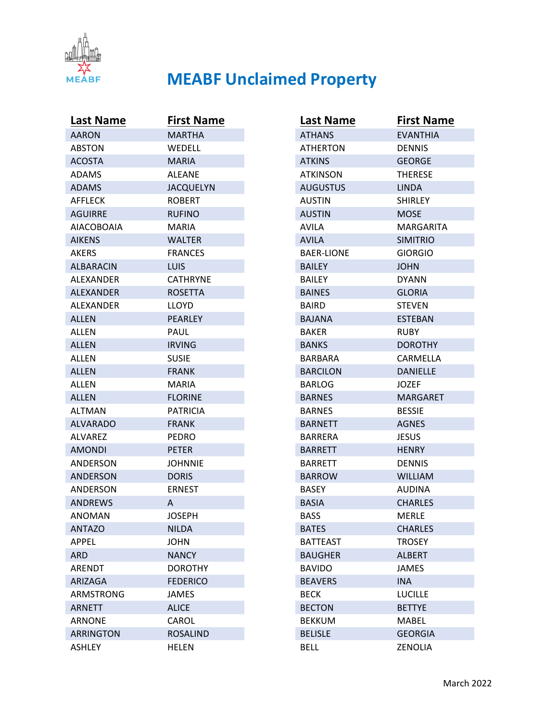

| <b>Last Name</b> | <b>First Name</b> |
|------------------|-------------------|
| AARON            | MARTHA            |
| ABSTON           | WEDELL            |
| <b>ACOSTA</b>    | <b>MARIA</b>      |
| ADAMS            | ALEANE            |
| <b>ADAMS</b>     | <b>JACQUELYN</b>  |
| AFFLECK          | <b>ROBERT</b>     |
| <b>AGUIRRE</b>   | <b>RUFINO</b>     |
| AIACOBOAIA       | MARIA             |
| <b>AIKENS</b>    | <b>WALTER</b>     |
| AKERS            | <b>FRANCES</b>    |
| <b>ALBARACIN</b> | <b>LUIS</b>       |
| ALEXANDER        | CATHRYNE          |
| <b>ALEXANDER</b> | <b>ROSETTA</b>    |
| <b>ALEXANDER</b> | LLOYD             |
| <b>ALLEN</b>     | <b>PEARLEY</b>    |
| ALLEN            | PAUL              |
| <b>ALLEN</b>     | <b>IRVING</b>     |
| ALLEN            | <b>SUSIE</b>      |
| ALLEN            | <b>FRANK</b>      |
| ALLEN            | MARIA             |
| <b>ALLEN</b>     | <b>FLORINE</b>    |
| <b>ALTMAN</b>    | PATRICIA          |
| <b>ALVARADO</b>  | <b>FRANK</b>      |
| ALVAREZ          | PEDRO             |
| <b>AMONDI</b>    | <b>PETER</b>      |
| ANDERSON         | <b>JOHNNIE</b>    |
| <b>ANDERSON</b>  | <b>DORIS</b>      |
| ANDERSON         | <b>ERNEST</b>     |
| <b>ANDREWS</b>   | A                 |
| <b>ANOMAN</b>    | <b>JOSEPH</b>     |
| <b>ANTAZO</b>    | <b>NILDA</b>      |
| APPEL            | <b>JOHN</b>       |
| <b>ARD</b>       | <b>NANCY</b>      |
| ARENDT           | <b>DOROTHY</b>    |
| ARIZAGA          | <b>FEDERICO</b>   |
| <b>ARMSTRONG</b> | <b>JAMES</b>      |
| <b>ARNETT</b>    | <b>ALICE</b>      |
| ARNONE           | CAROL             |
| <b>ARRINGTON</b> | <b>ROSALIND</b>   |
| <b>ASHLEY</b>    | <b>HELEN</b>      |

| Last Name       | <b>First Name</b> |
|-----------------|-------------------|
| <b>ATHANS</b>   | <b>EVANTHIA</b>   |
| <b>ATHERTON</b> | <b>DENNIS</b>     |
| <b>ATKINS</b>   | <b>GEORGE</b>     |
| <b>ATKINSON</b> | THERESE           |
| <b>AUGUSTUS</b> | <b>LINDA</b>      |
| <b>AUSTIN</b>   | <b>SHIRLEY</b>    |
| <b>AUSTIN</b>   | <b>MOSE</b>       |
| AVILA           | MARGARITA         |
| AVILA           | <b>SIMITRIO</b>   |
| BAER-LIONE      | <b>GIORGIO</b>    |
| <b>BAILEY</b>   | <b>JOHN</b>       |
| <b>BAILEY</b>   | <b>DYANN</b>      |
| <b>BAINES</b>   | <b>GLORIA</b>     |
| <b>BAIRD</b>    | <b>STEVEN</b>     |
| <b>BAJANA</b>   | <b>ESTEBAN</b>    |
| BAKER           | <b>RUBY</b>       |
| <b>BANKS</b>    | <b>DOROTHY</b>    |
| BARBARA         | CARMELLA          |
| <b>BARCILON</b> | <b>DANIELLE</b>   |
| BARLOG          | <b>JOZEF</b>      |
| <b>BARNES</b>   | <b>MARGARET</b>   |
| <b>BARNES</b>   | <b>BESSIE</b>     |
| <b>BARNETT</b>  | <b>AGNES</b>      |
| BARRERA         | JESUS             |
| <b>BARRETT</b>  | <b>HENRY</b>      |
| BARRETT         | <b>DENNIS</b>     |
| <b>BARROW</b>   | <b>WILLIAM</b>    |
| <b>BASEY</b>    | <b>AUDINA</b>     |
| <b>BASIA</b>    | CHARLES           |
| <b>BASS</b>     | <b>MERLE</b>      |
| <b>BATES</b>    | <b>CHARLES</b>    |
| <b>BATTEAST</b> | <b>TROSEY</b>     |
| <b>BAUGHER</b>  | <b>ALBERT</b>     |
| <b>BAVIDO</b>   | <b>JAMES</b>      |
| <b>BEAVERS</b>  | <b>INA</b>        |
| <b>BECK</b>     | <b>LUCILLE</b>    |
| <b>BECTON</b>   | <b>BETTYE</b>     |
| <b>BEKKUM</b>   | MABEL             |
| <b>BELISLE</b>  | <b>GEORGIA</b>    |
| <b>BELL</b>     | ZENOLIA           |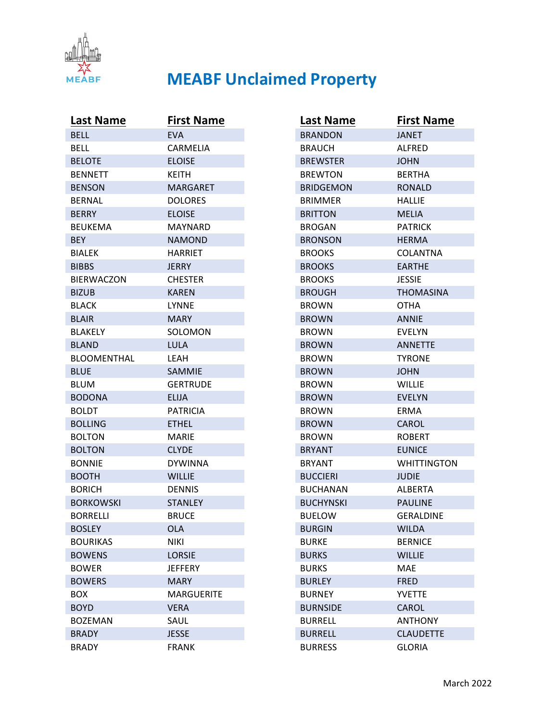

| <b>Last Name</b>   | <b>First Name</b> |
|--------------------|-------------------|
| <b>BELL</b>        | <b>EVA</b>        |
| BELL               | CARMELIA          |
| <b>BELOTE</b>      | <b>ELOISE</b>     |
| <b>BENNETT</b>     | <b>KEITH</b>      |
| <b>BENSON</b>      | <b>MARGARET</b>   |
| <b>BERNAL</b>      | <b>DOLORES</b>    |
| <b>BERRY</b>       | <b>ELOISE</b>     |
| <b>BEUKEMA</b>     | <b>MAYNARD</b>    |
| <b>BEY</b>         | <b>NAMOND</b>     |
| <b>BIALEK</b>      | HARRIET           |
| <b>BIBBS</b>       | JERRY             |
| <b>BIERWACZON</b>  | <b>CHESTER</b>    |
| <b>BIZUB</b>       | <b>KAREN</b>      |
| <b>BLACK</b>       | LYNNE             |
| <b>BLAIR</b>       | <b>MARY</b>       |
| BLAKELY            | SOLOMON           |
| <b>BLAND</b>       | <b>LULA</b>       |
| <b>BLOOMENTHAL</b> | LEAH              |
| <b>BLUE</b>        | SAMMIE            |
| <b>BLUM</b>        | GERTRUDE          |
| <b>BODONA</b>      | <b>ELIJA</b>      |
| <b>BOLDT</b>       | <b>PATRICIA</b>   |
| <b>BOLLING</b>     | <b>ETHEL</b>      |
| <b>BOLTON</b>      | MARIE             |
| <b>BOLTON</b>      | <b>CLYDE</b>      |
| <b>BONNIE</b>      | <b>DYWINNA</b>    |
| <b>BOOTH</b>       | <b>WILLIE</b>     |
| <b>BORICH</b>      | <b>DENNIS</b>     |
| <b>BORKOWSKI</b>   | STANLEY           |
| <b>BORRELLI</b>    | <b>BRUCE</b>      |
| <b>BOSLEY</b>      | OLA               |
| <b>BOURIKAS</b>    | <b>NIKI</b>       |
| <b>BOWENS</b>      | LORSIE            |
| <b>BOWER</b>       | <b>JEFFERY</b>    |
| <b>BOWERS</b>      | <b>MARY</b>       |
| <b>BOX</b>         | <b>MARGUERITE</b> |
| <b>BOYD</b>        | <b>VERA</b>       |
| <b>BOZEMAN</b>     | SAUL              |
| <b>BRADY</b>       | <b>JESSE</b>      |
| <b>BRADY</b>       | <b>FRANK</b>      |

| <b>Last Name</b> | <b>First Name</b> |
|------------------|-------------------|
| <b>BRANDON</b>   | JANET             |
| <b>BRAUCH</b>    | ALFRED            |
| <b>BREWSTER</b>  | <b>JOHN</b>       |
| <b>BREWTON</b>   | <b>BERTHA</b>     |
| <b>BRIDGEMON</b> | RONALD            |
| <b>BRIMMER</b>   | HALLIE            |
| <b>BRITTON</b>   | <b>MELIA</b>      |
| <b>BROGAN</b>    | <b>PATRICK</b>    |
| <b>BRONSON</b>   | <b>HERMA</b>      |
| <b>BROOKS</b>    | COLANTNA          |
| <b>BROOKS</b>    | <b>EARTHE</b>     |
| <b>BROOKS</b>    | <b>JESSIE</b>     |
| <b>BROUGH</b>    | <b>THOMASINA</b>  |
| <b>BROWN</b>     | OTHA              |
| <b>BROWN</b>     | <b>ANNIE</b>      |
| <b>BROWN</b>     | EVELYN            |
| <b>BROWN</b>     | <b>ANNETTE</b>    |
| <b>BROWN</b>     | <b>TYRONE</b>     |
| <b>BROWN</b>     | <b>JOHN</b>       |
| <b>BROWN</b>     | WILLIE            |
| <b>BROWN</b>     | <b>EVELYN</b>     |
| <b>BROWN</b>     | ERMA              |
| <b>BROWN</b>     | <b>CAROL</b>      |
| <b>BROWN</b>     | <b>ROBERT</b>     |
| <b>BRYANT</b>    | <b>EUNICE</b>     |
| <b>BRYANT</b>    | WHITTINGTON       |
| <b>BUCCIERI</b>  | <b>JUDIE</b>      |
| <b>BUCHANAN</b>  | <b>ALBERTA</b>    |
| <b>BUCHYNSKI</b> | <b>PAULINE</b>    |
| <b>BUELOW</b>    | GERALDINE         |
| <b>BURGIN</b>    | <b>WILDA</b>      |
| <b>BURKE</b>     | <b>BERNICE</b>    |
| <b>BURKS</b>     | <b>WILLIE</b>     |
| <b>BURKS</b>     | MAF               |
| <b>BURLEY</b>    | <b>FRED</b>       |
| <b>BURNEY</b>    | <b>YVETTE</b>     |
| <b>BURNSIDE</b>  | CAROL             |
| <b>BURRELL</b>   | <b>ANTHONY</b>    |
| <b>BURRELL</b>   | <b>CLAUDETTE</b>  |
| <b>BURRESS</b>   | <b>GLORIA</b>     |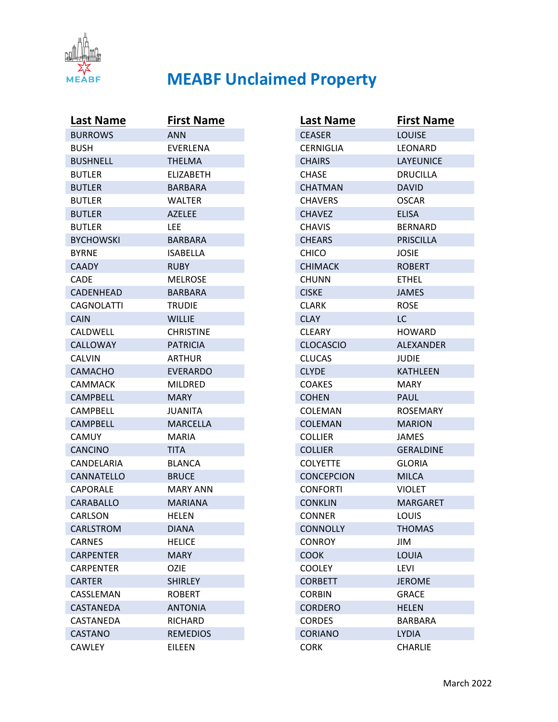

| <b>Last Name</b> | <b>First Name</b> |
|------------------|-------------------|
| <b>BURROWS</b>   | ANN               |
| <b>BUSH</b>      | EVERLENA          |
| <b>BUSHNELL</b>  | <b>THELMA</b>     |
| <b>BUTLER</b>    | ELIZABETH         |
| <b>BUTLER</b>    | BARBARA           |
| <b>BUTLER</b>    | <b>WALTER</b>     |
| <b>BUTLER</b>    | <b>AZELEE</b>     |
| <b>BUTLER</b>    | LEE               |
| <b>BYCHOWSKI</b> | BARBARA           |
| <b>BYRNE</b>     | ISABELLA          |
| <b>CAADY</b>     | <b>RUBY</b>       |
| CADE             | <b>MELROSE</b>    |
| <b>CADENHEAD</b> | BARBARA           |
| CAGNOLATTI       | TRUDIE            |
| <b>CAIN</b>      | <b>WILLIE</b>     |
| CALDWELL         | <b>CHRISTINE</b>  |
| CALLOWAY         | <b>PATRICIA</b>   |
| CALVIN           | ARTHUR            |
| <b>CAMACHO</b>   | <b>EVERARDO</b>   |
| CAMMACK          | <b>MILDRED</b>    |
| <b>CAMPBELL</b>  | MARY.             |
| <b>CAMPBELL</b>  | <b>JUANITA</b>    |
| CAMPBELL         | <b>MARCELLA</b>   |
| CAMUY            | MARIA             |
| <b>CANCINO</b>   | <b>TITA</b>       |
| CANDELARIA       | <b>BLANCA</b>     |
| CANNATELLO       | <b>BRUCE</b>      |
| CAPORALE         | MARY ANN          |
| CARABALLO        | <b>MARIANA</b>    |
| CARLSON          | <b>HELEN</b>      |
| CARLSTROM        | <b>DIANA</b>      |
| <b>CARNES</b>    | <b>HELICE</b>     |
| CARPENTER        | <b>MARY</b>       |
| <b>CARPENTER</b> | <b>OZIE</b>       |
| <b>CARTER</b>    | <b>SHIRLEY</b>    |
| CASSLEMAN        | <b>ROBERT</b>     |
| CASTANEDA        | <b>ANTONIA</b>    |
| CASTANEDA        | RICHARD           |
| <b>CASTANO</b>   | <b>REMEDIOS</b>   |
| <b>CAWLEY</b>    | EILEEN            |

| Last Name         | <b>First Name</b> |
|-------------------|-------------------|
| <b>CEASER</b>     | <b>LOUISE</b>     |
| <b>CERNIGLIA</b>  | LEONARD           |
| <b>CHAIRS</b>     | LAYEUNICE         |
| CHASE             | <b>DRUCILLA</b>   |
| <b>CHATMAN</b>    | <b>DAVID</b>      |
| <b>CHAVERS</b>    | OSCAR             |
| <b>CHAVEZ</b>     | <b>ELISA</b>      |
| <b>CHAVIS</b>     | BERNARD           |
| <b>CHEARS</b>     | <b>PRISCILLA</b>  |
| CHICO             | JOSIE             |
| <b>CHIMACK</b>    | <b>ROBERT</b>     |
| <b>CHUNN</b>      | <b>ETHEL</b>      |
| <b>CISKE</b>      | <b>JAMES</b>      |
| CLARK             | <b>ROSE</b>       |
| <b>CLAY</b>       | LC                |
| <b>CLEARY</b>     | <b>HOWARD</b>     |
| <b>CLOCASCIO</b>  | <b>ALEXANDER</b>  |
| <b>CLUCAS</b>     | JUDIE             |
| <b>CLYDE</b>      | <b>KATHLEEN</b>   |
| <b>COAKES</b>     | MARY.             |
| <b>COHEN</b>      | <b>PAUL</b>       |
| COLEMAN           | <b>ROSEMARY</b>   |
| <b>COLEMAN</b>    | <b>MARION</b>     |
| <b>COLLIER</b>    | JAMES             |
| <b>COLLIER</b>    | <b>GERALDINE</b>  |
| <b>COLYETTE</b>   | <b>GLORIA</b>     |
| <b>CONCEPCION</b> | <b>MILCA</b>      |
| <b>CONFORTI</b>   | <b>VIOLET</b>     |
| <b>CONKLIN</b>    | MARGARET          |
| <b>CONNER</b>     | LOUIS             |
| <b>CONNOLLY</b>   | <b>THOMAS</b>     |
| <b>CONROY</b>     | JIM               |
| <b>COOK</b>       | LOUIA             |
| <b>COOLEY</b>     | <b>LEVI</b>       |
| <b>CORBETT</b>    | <b>JEROME</b>     |
| <b>CORBIN</b>     | <b>GRACE</b>      |
| <b>CORDERO</b>    | <b>HELEN</b>      |
| <b>CORDES</b>     | <b>BARBARA</b>    |
| <b>CORIANO</b>    | <b>LYDIA</b>      |
| <b>CORK</b>       | <b>CHARLIE</b>    |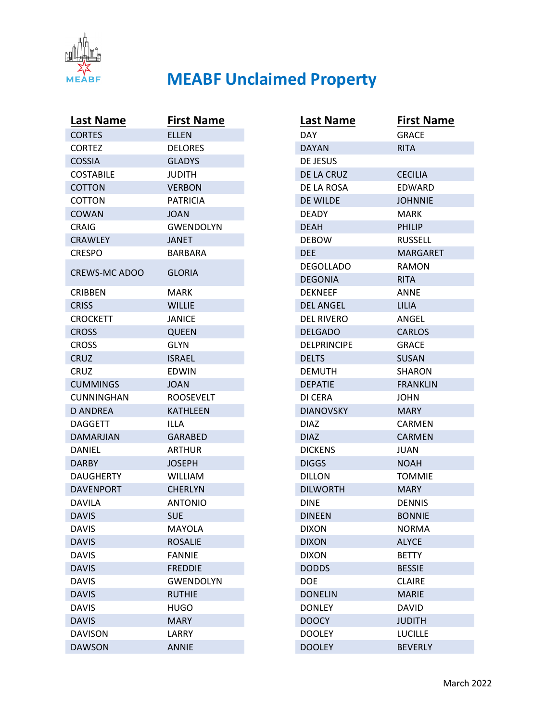

| Last Name            | <b>First Name</b> |
|----------------------|-------------------|
| <b>CORTES</b>        | <b>ELLEN</b>      |
| <b>CORTEZ</b>        | <b>DELORES</b>    |
| <b>COSSIA</b>        | GLADYS            |
| <b>COSTABILE</b>     | <b>JUDITH</b>     |
| <b>COTTON</b>        | <b>VERBON</b>     |
| COTTON               | <b>PATRICIA</b>   |
| COWAN                | <b>JOAN</b>       |
| CRAIG                | <b>GWENDOLYN</b>  |
| <b>CRAWLEY</b>       | <b>JANET</b>      |
| <b>CRESPO</b>        | BARBARA           |
| <b>CREWS-MC ADOO</b> | <b>GLORIA</b>     |
| <b>CRIBBEN</b>       | MARK              |
| <b>CRISS</b>         | <b>WILLIE</b>     |
| <b>CROCKETT</b>      | JANICE            |
| <b>CROSS</b>         | <b>QUEEN</b>      |
| <b>CROSS</b>         | GLYN              |
| <b>CRUZ</b>          | <b>ISRAEL</b>     |
| CRUZ                 | <b>EDWIN</b>      |
| <b>CUMMINGS</b>      | <b>JOAN</b>       |
| CUNNINGHAN           | <b>ROOSEVELT</b>  |
| <b>D ANDREA</b>      | <b>KATHLEEN</b>   |
| <b>DAGGETT</b>       | ILLA              |
| <b>DAMARJIAN</b>     | <b>GARABED</b>    |
| DANIEL               | ARTHUR            |
| DARBY                | <b>JOSEPH</b>     |
| <b>DAUGHERTY</b>     | WILLIAM           |
| <b>DAVENPORT</b>     | <b>CHERLYN</b>    |
| DAVILA               | <b>ANTONIO</b>    |
| <b>DAVIS</b>         | <b>SUE</b>        |
| <b>DAVIS</b>         | MAYOLA            |
| <b>DAVIS</b>         | <b>ROSALIE</b>    |
| <b>DAVIS</b>         | <b>FANNIE</b>     |
| <b>DAVIS</b>         | <b>FREDDIE</b>    |
| <b>DAVIS</b>         | <b>GWENDOLYN</b>  |
| <b>DAVIS</b>         | <b>RUTHIE</b>     |
| <b>DAVIS</b>         | HUGO              |
| <b>DAVIS</b>         | <b>MARY</b>       |
| <b>DAVISON</b>       | LARRY             |
| <b>DAWSON</b>        | <b>ANNIE</b>      |

| Last Name          | <b>First Name</b> |
|--------------------|-------------------|
| DAY.               | <b>GRACE</b>      |
| <b>DAYAN</b>       | <b>RITA</b>       |
| DE JESUS           |                   |
| DE LA CRUZ         | <b>CECILIA</b>    |
| DE LA ROSA         | EDWARD            |
| DE WILDE           | <b>JOHNNIE</b>    |
| <b>DEADY</b>       | MARK              |
| <b>DEAH</b>        | <b>PHILIP</b>     |
| <b>DEBOW</b>       | <b>RUSSELL</b>    |
| <b>DEE</b>         | <b>MARGARET</b>   |
| <b>DEGOLLADO</b>   | <b>RAMON</b>      |
| <b>DEGONIA</b>     | <b>RITA</b>       |
| <b>DEKNEEF</b>     | ANNE              |
| <b>DEL ANGEL</b>   | LILIA             |
| <b>DEL RIVERO</b>  | ANGEL             |
| <b>DELGADO</b>     | <b>CARLOS</b>     |
| <b>DELPRINCIPE</b> | <b>GRACE</b>      |
| <b>DELTS</b>       | <b>SUSAN</b>      |
| DEMUTH             | SHARON            |
| <b>DEPATIE</b>     | FRANKLIN          |
| DI CERA            | JOHN              |
| <b>DIANOVSKY</b>   | <b>MARY</b>       |
| DIAZ               | CARMEN            |
| <b>DIAZ</b>        | <b>CARMEN</b>     |
| <b>DICKENS</b>     | JUAN              |
| <b>DIGGS</b>       | <b>NOAH</b>       |
| <b>DILLON</b>      | TOMMIE            |
| <b>DILWORTH</b>    | MARY              |
| DINE               | <b>DENNIS</b>     |
| <b>DINEEN</b>      | <b>BONNIE</b>     |
| <b>DIXON</b>       | <b>NORMA</b>      |
| <b>DIXON</b>       | <b>ALYCE</b>      |
| <b>DIXON</b>       | <b>BETTY</b>      |
| <b>DODDS</b>       | <b>BESSIE</b>     |
| <b>DOE</b>         | <b>CLAIRE</b>     |
| <b>DONELIN</b>     | <b>MARIE</b>      |
| <b>DONLEY</b>      | <b>DAVID</b>      |
| <b>DOOCY</b>       | <b>JUDITH</b>     |
| <b>DOOLEY</b>      | <b>LUCILLE</b>    |
| <b>DOOLEY</b>      | <b>BEVERLY</b>    |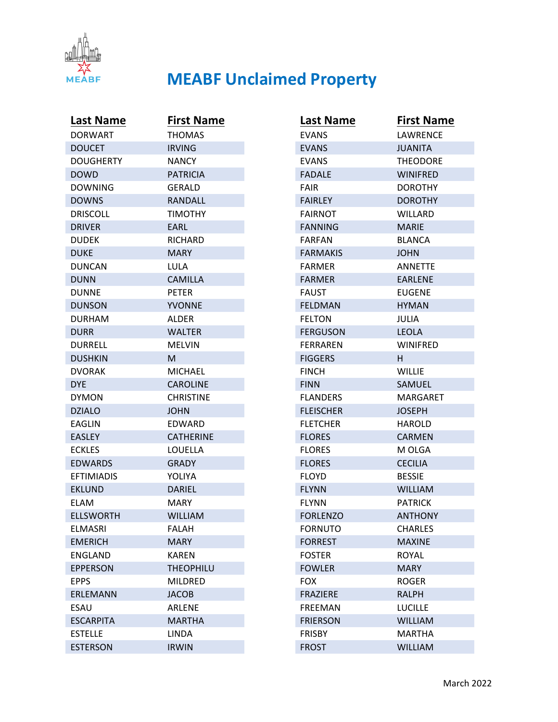

| <b>Last Name</b>  | <b>First Name</b> |
|-------------------|-------------------|
| <b>DORWART</b>    | <b>THOMAS</b>     |
| <b>DOUCET</b>     | <b>IRVING</b>     |
| <b>DOUGHERTY</b>  | <b>NANCY</b>      |
| <b>DOWD</b>       | <b>PATRICIA</b>   |
| <b>DOWNING</b>    | GERALD            |
| <b>DOWNS</b>      | RANDALL           |
| <b>DRISCOLL</b>   | <b>TIMOTHY</b>    |
| <b>DRIVER</b>     | EARL              |
| <b>DUDEK</b>      | <b>RICHARD</b>    |
| <b>DUKE</b>       | <b>MARY</b>       |
| <b>DUNCAN</b>     | LULA              |
| <b>DUNN</b>       | <b>CAMILLA</b>    |
| <b>DUNNE</b>      | <b>PETER</b>      |
| <b>DUNSON</b>     | <b>YVONNE</b>     |
| <b>DURHAM</b>     | <b>ALDER</b>      |
| <b>DURR</b>       | <b>WALTER</b>     |
| <b>DURRELL</b>    | <b>MELVIN</b>     |
| <b>DUSHKIN</b>    | м                 |
| <b>DVORAK</b>     | <b>MICHAEL</b>    |
| <b>DYE</b>        | <b>CAROLINE</b>   |
| <b>DYMON</b>      | <b>CHRISTINE</b>  |
| <b>DZIALO</b>     | <b>JOHN</b>       |
| <b>EAGLIN</b>     | EDWARD            |
| <b>EASLEY</b>     | <b>CATHERINE</b>  |
| <b>ECKLES</b>     | LOUELLA           |
| <b>EDWARDS</b>    | <b>GRADY</b>      |
| <b>EFTIMIADIS</b> | YOLIYA            |
| <b>EKLUND</b>     | <b>DARIEL</b>     |
| <b>ELAM</b>       | <b>MARY</b>       |
| <b>ELLSWORTH</b>  | <b>WILLIAM</b>    |
| <b>ELMASRI</b>    | <b>FALAH</b>      |
| <b>EMERICH</b>    | <b>MARY</b>       |
| <b>ENGLAND</b>    | <b>KAREN</b>      |
| <b>EPPERSON</b>   | <b>THEOPHILU</b>  |
| <b>EPPS</b>       | MILDRED           |
| <b>ERLEMANN</b>   | <b>JACOB</b>      |
| ESAU              | <b>ARLENE</b>     |
| <b>ESCARPITA</b>  | <b>MARTHA</b>     |
| <b>ESTELLE</b>    | LINDA             |
| <b>ESTERSON</b>   | <b>IRWIN</b>      |

| <b>Last Name</b> | <b>First Name</b> |
|------------------|-------------------|
| <b>EVANS</b>     | LAWRENCE          |
| <b>EVANS</b>     | <b>JUANITA</b>    |
| <b>EVANS</b>     | <b>THEODORE</b>   |
| <b>FADALE</b>    | <b>WINIFRED</b>   |
| FAIR             | <b>DOROTHY</b>    |
| <b>FAIRLEY</b>   | <b>DOROTHY</b>    |
| <b>FAIRNOT</b>   | <b>WILLARD</b>    |
| <b>FANNING</b>   | <b>MARIE</b>      |
| <b>FARFAN</b>    | BLANCA            |
| <b>FARMAKIS</b>  | <b>JOHN</b>       |
| <b>FARMER</b>    | <b>ANNETTE</b>    |
| <b>FARMER</b>    | <b>EARLENE</b>    |
| <b>FAUST</b>     | <b>EUGENE</b>     |
| <b>FELDMAN</b>   | <b>HYMAN</b>      |
| <b>FELTON</b>    | <b>JULIA</b>      |
| <b>FERGUSON</b>  | LEOLA             |
| FERRAREN         | <b>WINIFRED</b>   |
| <b>FIGGERS</b>   | H.                |
| <b>FINCH</b>     | <b>WILLIE</b>     |
| <b>FINN</b>      | SAMUEL            |
| <b>FLANDERS</b>  | <b>MARGARET</b>   |
| <b>FLEISCHER</b> | <b>JOSEPH</b>     |
| <b>FLETCHER</b>  | <b>HAROLD</b>     |
| <b>FLORES</b>    | <b>CARMEN</b>     |
| <b>FLORES</b>    | M OLGA            |
| <b>FLORES</b>    | <b>CECILIA</b>    |
| <b>FLOYD</b>     | <b>BESSIE</b>     |
| <b>FLYNN</b>     | <b>WILLIAM</b>    |
| <b>FLYNN</b>     | <b>PATRICK</b>    |
| <b>FORLENZO</b>  | <b>ANTHONY</b>    |
| <b>FORNUTO</b>   | <b>CHARLES</b>    |
| <b>FORREST</b>   | <b>MAXINE</b>     |
| <b>FOSTER</b>    | <b>ROYAL</b>      |
| <b>FOWLER</b>    | <b>MARY</b>       |
| <b>FOX</b>       | <b>ROGER</b>      |
| <b>FRAZIERE</b>  | <b>RALPH</b>      |
| <b>FREEMAN</b>   | <b>LUCILLE</b>    |
| <b>FRIERSON</b>  | <b>WILLIAM</b>    |
| <b>FRISBY</b>    | <b>MARTHA</b>     |
| <b>FROST</b>     | <b>WILLIAM</b>    |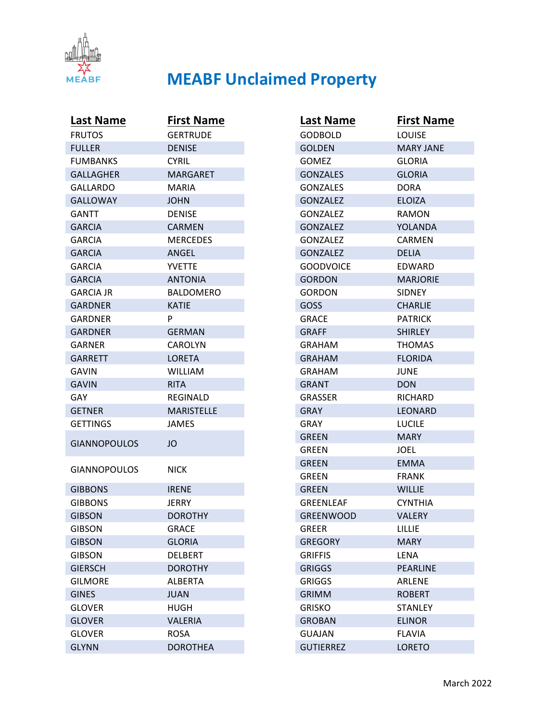

| <b>Last Name</b>    | <b>First Name</b> |
|---------------------|-------------------|
| <b>FRUTOS</b>       | <b>GERTRUDE</b>   |
| <b>FULLER</b>       | <b>DENISE</b>     |
| <b>FUMBANKS</b>     | <b>CYRIL</b>      |
| <b>GALLAGHER</b>    | <b>MARGARET</b>   |
| GALLARDO            | MARIA             |
| <b>GALLOWAY</b>     | <b>JOHN</b>       |
| <b>GANTT</b>        | <b>DENISE</b>     |
| <b>GARCIA</b>       | <b>CARMEN</b>     |
| <b>GARCIA</b>       | <b>MERCEDES</b>   |
| <b>GARCIA</b>       | ANGEL             |
| <b>GARCIA</b>       | <b>YVETTE</b>     |
| <b>GARCIA</b>       | <b>ANTONIA</b>    |
| <b>GARCIA JR</b>    | <b>BALDOMERO</b>  |
| GARDNER             | <b>KATIE</b>      |
| GARDNER             | P                 |
| <b>GARDNER</b>      | <b>GERMAN</b>     |
| GARNER              | <b>CAROLYN</b>    |
| <b>GARRETT</b>      | <b>LORETA</b>     |
| GAVIN               | <b>WILLIAM</b>    |
| <b>GAVIN</b>        | <b>RITA</b>       |
| GAY                 | <b>REGINALD</b>   |
| <b>GETNER</b>       | <b>MARISTELLE</b> |
| <b>GETTINGS</b>     | <b>JAMES</b>      |
| <b>GIANNOPOULOS</b> | JO                |
| <b>GIANNOPOULOS</b> | <b>NICK</b>       |
| <b>GIBBONS</b>      | <b>IRENE</b>      |
| <b>GIBBONS</b>      | JERRY             |
| <b>GIBSON</b>       | <b>DOROTHY</b>    |
| <b>GIBSON</b>       | <b>GRACE</b>      |
| <b>GIBSON</b>       | <b>GLORIA</b>     |
| <b>GIBSON</b>       | <b>DELBERT</b>    |
| <b>GIERSCH</b>      | <b>DOROTHY</b>    |
| <b>GILMORE</b>      | <b>ALBERTA</b>    |
| <b>GINES</b>        | <b>JUAN</b>       |
| <b>GLOVER</b>       | <b>HUGH</b>       |
| <b>GLOVER</b>       | <b>VALERIA</b>    |
| <b>GLOVER</b>       | <b>ROSA</b>       |
| <b>GLYNN</b>        | <b>DOROTHEA</b>   |

| <b>Last Name</b> | <b>First Name</b> |
|------------------|-------------------|
| GODBOLD          | <b>LOUISE</b>     |
| <b>GOLDEN</b>    | <b>MARY JANE</b>  |
| <b>GOMEZ</b>     | <b>GLORIA</b>     |
| <b>GONZALES</b>  | <b>GLORIA</b>     |
| <b>GONZALES</b>  | <b>DORA</b>       |
| <b>GONZALEZ</b>  | <b>ELOIZA</b>     |
| <b>GONZALEZ</b>  | <b>RAMON</b>      |
| <b>GONZALEZ</b>  | YOLANDA           |
| GONZALEZ         | <b>CARMEN</b>     |
| <b>GONZALEZ</b>  | <b>DELIA</b>      |
| <b>GOODVOICE</b> | EDWARD            |
| <b>GORDON</b>    | <b>MARJORIE</b>   |
| GORDON           | <b>SIDNEY</b>     |
| GOSS             | <b>CHARLIE</b>    |
| <b>GRACE</b>     | <b>PATRICK</b>    |
| <b>GRAFF</b>     | <b>SHIRLEY</b>    |
| <b>GRAHAM</b>    | <b>THOMAS</b>     |
| <b>GRAHAM</b>    | <b>FLORIDA</b>    |
| GRAHAM           | JUNE              |
| <b>GRANT</b>     | <b>DON</b>        |
| <b>GRASSER</b>   | RICHARD           |
| <b>GRAY</b>      | LEONARD           |
| GRAY             | <b>LUCILE</b>     |
| GREEN            | <b>MARY</b>       |
| <b>GREEN</b>     | JOEL              |
| <b>GREEN</b>     | <b>EMMA</b>       |
| GREEN            | <b>FRANK</b>      |
| GREEN            | <b>WILLIE</b>     |
| <b>GREENLEAF</b> | CYNTHIA           |
| <b>GREENWOOD</b> | <b>VALERY</b>     |
| <b>GREER</b>     | LILLIE            |
| <b>GREGORY</b>   | <b>MARY</b>       |
| <b>GRIFFIS</b>   | <b>LENA</b>       |
| <b>GRIGGS</b>    | <b>PEARLINE</b>   |
| <b>GRIGGS</b>    | <b>ARLENE</b>     |
| <b>GRIMM</b>     | <b>ROBERT</b>     |
| <b>GRISKO</b>    | <b>STANLEY</b>    |
| <b>GROBAN</b>    | <b>ELINOR</b>     |
| <b>GUAJAN</b>    | <b>FLAVIA</b>     |
| <b>GUTIERREZ</b> | <b>LORETO</b>     |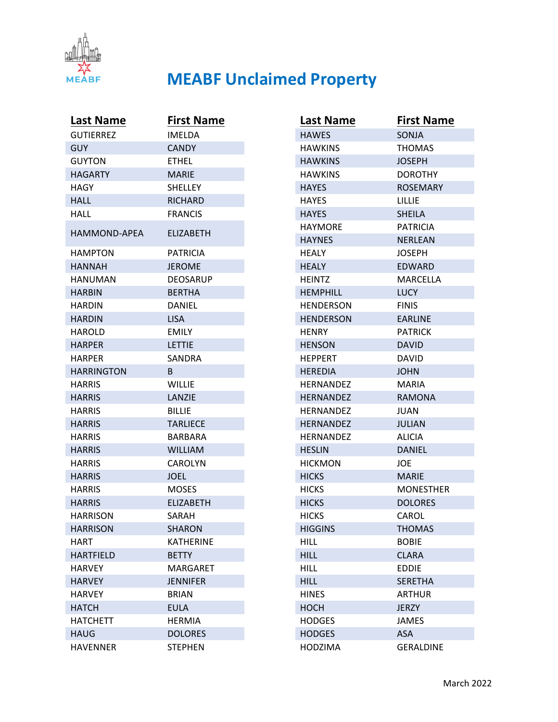

| <b>Last Name</b>    | <b>First Name</b> |
|---------------------|-------------------|
| <b>GUTIERREZ</b>    | <b>IMELDA</b>     |
| GUY.                | <b>CANDY</b>      |
| <b>GUYTON</b>       | <b>ETHEL</b>      |
| <b>HAGARTY</b>      | <b>MARIE</b>      |
| HAGY                | <b>SHELLEY</b>    |
| <b>HALL</b>         | <b>RICHARD</b>    |
| HALL                | <b>FRANCIS</b>    |
| <b>HAMMOND-APEA</b> | <b>FLIZABETH</b>  |
| <b>HAMPTON</b>      | <b>PATRICIA</b>   |
| <b>HANNAH</b>       | <b>JEROME</b>     |
| HANUMAN             | DEOSARUP          |
| <b>HARBIN</b>       | <b>BERTHA</b>     |
| <b>HARDIN</b>       | <b>DANIEL</b>     |
| <b>HARDIN</b>       | <b>LISA</b>       |
| HAROLD              | <b>EMILY</b>      |
| <b>HARPER</b>       | LETTIE            |
| <b>HARPER</b>       | SANDRA            |
| <b>HARRINGTON</b>   | B.                |
| <b>HARRIS</b>       | WILLIE            |
| <b>HARRIS</b>       | LANZIE            |
| <b>HARRIS</b>       | <b>BILLIE</b>     |
| <b>HARRIS</b>       | <b>TARLIECE</b>   |
| <b>HARRIS</b>       | <b>BARBARA</b>    |
| <b>HARRIS</b>       | <b>WILLIAM</b>    |
| <b>HARRIS</b>       | <b>CAROLYN</b>    |
| <b>HARRIS</b>       | <b>JOEL</b>       |
| <b>HARRIS</b>       | <b>MOSES</b>      |
| <b>HARRIS</b>       | <b>ELIZABETH</b>  |
| <b>HARRISON</b>     | SARAH             |
| <b>HARRISON</b>     | <b>SHARON</b>     |
| HART                | <b>KATHERINE</b>  |
| <b>HARTFIELD</b>    | <b>BETTY</b>      |
| <b>HARVEY</b>       | MARGARET          |
| <b>HARVEY</b>       | <b>JENNIFER</b>   |
| <b>HARVEY</b>       | <b>BRIAN</b>      |
| <b>HATCH</b>        | <b>EULA</b>       |
| <b>HATCHETT</b>     | <b>HERMIA</b>     |
| <b>HAUG</b>         | <b>DOLORES</b>    |
| <b>HAVENNER</b>     | <b>STEPHEN</b>    |

| <b>Last Name</b> | <b>First Name</b> |
|------------------|-------------------|
| <b>HAWES</b>     | <b>SONJA</b>      |
| <b>HAWKINS</b>   | <b>THOMAS</b>     |
| <b>HAWKINS</b>   | <b>JOSEPH</b>     |
| <b>HAWKINS</b>   | <b>DOROTHY</b>    |
| <b>HAYES</b>     | <b>ROSEMARY</b>   |
| <b>HAYES</b>     | LILLIE            |
| <b>HAYES</b>     | <b>SHEILA</b>     |
| <b>HAYMORE</b>   | <b>PATRICIA</b>   |
| <b>HAYNES</b>    | <b>NERLEAN</b>    |
| HEALY            | JOSEPH            |
| <b>HEALY</b>     | <b>EDWARD</b>     |
| <b>HEINTZ</b>    | <b>MARCELLA</b>   |
| <b>HEMPHILL</b>  | <b>LUCY</b>       |
| HENDERSON        | <b>FINIS</b>      |
| <b>HENDERSON</b> | <b>EARLINE</b>    |
| <b>HENRY</b>     | <b>PATRICK</b>    |
| <b>HENSON</b>    | <b>DAVID</b>      |
| <b>HEPPERT</b>   | DAVID             |
| <b>HEREDIA</b>   | JOHN              |
| <b>HERNANDEZ</b> | MARIA             |
| <b>HERNANDEZ</b> | <b>RAMONA</b>     |
| HERNANDEZ        | JUAN              |
| <b>HERNANDEZ</b> | <b>JULIAN</b>     |
| HERNANDEZ        | <b>ALICIA</b>     |
| <b>HESLIN</b>    | <b>DANIEL</b>     |
| <b>HICKMON</b>   | JOE               |
| <b>HICKS</b>     | <b>MARIE</b>      |
| <b>HICKS</b>     | <b>MONESTHER</b>  |
| <b>HICKS</b>     | <b>DOLORES</b>    |
| <b>HICKS</b>     | CAROL             |
| <b>HIGGINS</b>   | <b>THOMAS</b>     |
| <b>HILL</b>      | <b>BOBIE</b>      |
| <b>HILL</b>      | <b>CLARA</b>      |
| <b>HILL</b>      | <b>EDDIE</b>      |
| <b>HILL</b>      | <b>SERETHA</b>    |
| <b>HINES</b>     | <b>ARTHUR</b>     |
| <b>HOCH</b>      | <b>JERZY</b>      |
| <b>HODGES</b>    | <b>JAMES</b>      |
| <b>HODGES</b>    | <b>ASA</b>        |
| <b>HODZIMA</b>   | <b>GERALDINE</b>  |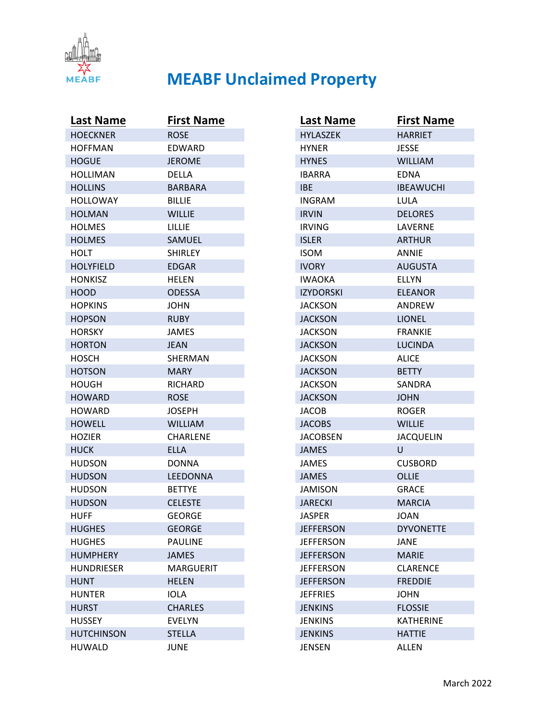

| <b>Last Name</b>  | <b>First Name</b> |
|-------------------|-------------------|
| <b>HOECKNER</b>   | <b>ROSE</b>       |
| <b>HOFFMAN</b>    | <b>EDWARD</b>     |
| <b>HOGUE</b>      | <b>JEROME</b>     |
| <b>HOLLIMAN</b>   | DELLA             |
| <b>HOLLINS</b>    | <b>BARBARA</b>    |
| <b>HOLLOWAY</b>   | <b>BILLIE</b>     |
| <b>HOLMAN</b>     | <b>WILLIE</b>     |
| <b>HOLMES</b>     | LILLIE            |
| <b>HOLMES</b>     | <b>SAMUEL</b>     |
| <b>HOLT</b>       | <b>SHIRLEY</b>    |
| <b>HOLYFIELD</b>  | EDGAR             |
| <b>HONKISZ</b>    | HELEN             |
| <b>HOOD</b>       | <b>ODESSA</b>     |
| <b>HOPKINS</b>    | <b>JOHN</b>       |
| <b>HOPSON</b>     | <b>RUBY</b>       |
| <b>HORSKY</b>     | JAMES             |
| <b>HORTON</b>     | JEAN              |
| <b>HOSCH</b>      | SHERMAN           |
| <b>HOTSON</b>     | MARY.             |
| <b>HOUGH</b>      | <b>RICHARD</b>    |
| <b>HOWARD</b>     | <b>ROSE</b>       |
| HOWARD            | <b>JOSEPH</b>     |
| <b>HOWELL</b>     | <b>WILLIAM</b>    |
| <b>HOZIER</b>     | <b>CHARLENE</b>   |
| <b>HUCK</b>       | <b>ELLA</b>       |
| <b>HUDSON</b>     | <b>DONNA</b>      |
| <b>HUDSON</b>     | LEEDONNA          |
| <b>HUDSON</b>     | <b>BETTYE</b>     |
| <b>HUDSON</b>     | <b>CELESTE</b>    |
| <b>HUFF</b>       | GEORGE            |
| <b>HUGHES</b>     | <b>GEORGE</b>     |
| <b>HUGHES</b>     | <b>PAULINE</b>    |
| <b>HUMPHERY</b>   | <b>JAMES</b>      |
| <b>HUNDRIESER</b> | <b>MARGUERIT</b>  |
| <b>HUNT</b>       | <b>HELEN</b>      |
| <b>HUNTER</b>     | <b>IOLA</b>       |
| <b>HURST</b>      | <b>CHARLES</b>    |
| <b>HUSSEY</b>     | <b>EVELYN</b>     |
| <b>HUTCHINSON</b> | <b>STELLA</b>     |
| <b>HUWALD</b>     | <b>JUNE</b>       |

| Last Name        | <b>First Name</b> |
|------------------|-------------------|
| <b>HYLASZEK</b>  | <b>HARRIET</b>    |
| <b>HYNER</b>     | <b>JESSE</b>      |
| <b>HYNES</b>     | <b>WILLIAM</b>    |
| <b>IBARRA</b>    | <b>EDNA</b>       |
| IBE              | <b>IBEAWUCHI</b>  |
| <b>INGRAM</b>    | LULA              |
| <b>IRVIN</b>     | <b>DELORES</b>    |
| <b>IRVING</b>    | LAVERNE           |
| <b>ISLER</b>     | ARTHUR            |
| <b>ISOM</b>      | ANNIE             |
| <b>IVORY</b>     | <b>AUGUSTA</b>    |
| <b>IWAOKA</b>    | <b>ELLYN</b>      |
| <b>IZYDORSKI</b> | <b>ELEANOR</b>    |
| JACKSON          | <b>ANDREW</b>     |
| <b>JACKSON</b>   | <b>LIONEL</b>     |
| <b>JACKSON</b>   | <b>FRANKIE</b>    |
| <b>JACKSON</b>   | LUCINDA           |
| JACKSON          | <b>ALICE</b>      |
| <b>JACKSON</b>   | <b>BETTY</b>      |
| JACKSON          | SANDRA            |
| <b>JACKSON</b>   | <b>JOHN</b>       |
| <b>JACOB</b>     | <b>ROGER</b>      |
| <b>JACOBS</b>    | <b>WILLIE</b>     |
| <b>JACOBSEN</b>  | JACQUELIN         |
| <b>JAMES</b>     | U                 |
| JAMES            | <b>CUSBORD</b>    |
| <b>JAMES</b>     | <b>OLLIE</b>      |
| <b>JAMISON</b>   | <b>GRACE</b>      |
| <b>JARECKI</b>   | <b>MARCIA</b>     |
| <b>JASPER</b>    | JOAN              |
| <b>JEFFERSON</b> | <b>DYVONETTE</b>  |
| <b>JEFFERSON</b> | JANE              |
| <b>JEFFERSON</b> | <b>MARIE</b>      |
| <b>JEFFERSON</b> | <b>CLARENCE</b>   |
| <b>JEFFERSON</b> | <b>FREDDIE</b>    |
| <b>JEFFRIES</b>  | <b>JOHN</b>       |
| <b>JENKINS</b>   | <b>FLOSSIE</b>    |
| <b>JENKINS</b>   | <b>KATHERINE</b>  |
| <b>JENKINS</b>   | <b>HATTIE</b>     |
| <b>JENSEN</b>    | <b>ALLEN</b>      |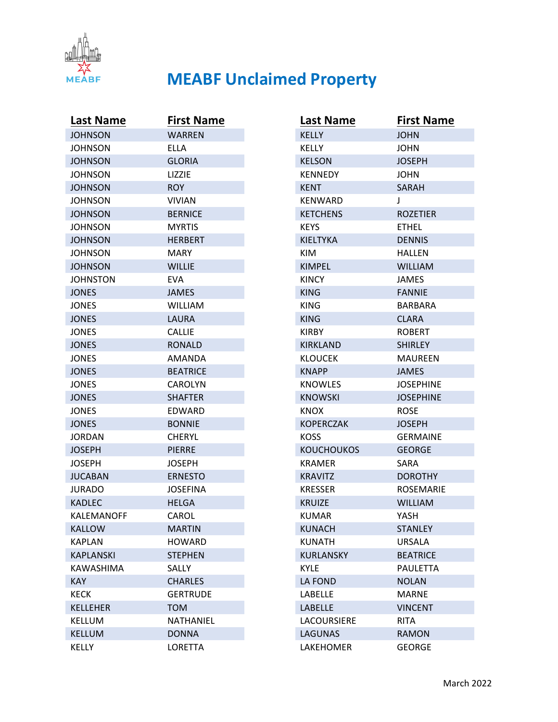

| Last Name        | <b>First Name</b> |
|------------------|-------------------|
| <b>JOHNSON</b>   | <b>WARREN</b>     |
| <b>JOHNSON</b>   | ELLA              |
| <b>JOHNSON</b>   | <b>GLORIA</b>     |
| JOHNSON          | <b>LIZZIE</b>     |
| <b>JOHNSON</b>   | <b>ROY</b>        |
| <b>JOHNSON</b>   | <b>VIVIAN</b>     |
| <b>JOHNSON</b>   | <b>BERNICE</b>    |
| <b>JOHNSON</b>   | <b>MYRTIS</b>     |
| <b>JOHNSON</b>   | <b>HERBERT</b>    |
| <b>JOHNSON</b>   | MARY              |
| <b>JOHNSON</b>   | <b>WILLIE</b>     |
| JOHNSTON         | EVA               |
| <b>JONES</b>     | <b>JAMES</b>      |
| <b>JONES</b>     | <b>WILLIAM</b>    |
| <b>JONES</b>     | LAURA             |
| <b>JONES</b>     | <b>CALLIE</b>     |
| <b>JONES</b>     | <b>RONALD</b>     |
| JONES            | AMANDA            |
| <b>JONES</b>     | <b>BEATRICE</b>   |
| JONES            | CAROLYN           |
| <b>JONES</b>     | SHAFTER           |
| JONES            | EDWARD            |
| <b>JONES</b>     | <b>BONNIE</b>     |
| JORDAN           | CHERYL            |
| <b>JOSEPH</b>    | <b>PIERRE</b>     |
| <b>JOSEPH</b>    | <b>JOSEPH</b>     |
| <b>JUCABAN</b>   | <b>ERNESTO</b>    |
| <b>JURADO</b>    | <b>JOSEFINA</b>   |
| <b>KADLEC</b>    | <b>HELGA</b>      |
| KALEMANOFF       | CAROL             |
| <b>KALLOW</b>    | <b>MARTIN</b>     |
| <b>KAPLAN</b>    | <b>HOWARD</b>     |
| <b>KAPLANSKI</b> | <b>STEPHEN</b>    |
| <b>KAWASHIMA</b> | SALLY             |
| <b>KAY</b>       | <b>CHARLES</b>    |
| <b>KECK</b>      | <b>GERTRUDE</b>   |
| <b>KELLEHER</b>  | <b>TOM</b>        |
| <b>KELLUM</b>    | NATHANIEL         |
| <b>KELLUM</b>    | <b>DONNA</b>      |
| <b>KELLY</b>     | LORETTA           |

| <b>Last Name</b>  | <b>First Name</b> |
|-------------------|-------------------|
| <b>KELLY</b>      | JOHN              |
| <b>KELLY</b>      | JOHN              |
| <b>KELSON</b>     | <b>JOSEPH</b>     |
| <b>KENNEDY</b>    | JOHN              |
| KENT              | <b>SARAH</b>      |
| <b>KENWARD</b>    | J                 |
| <b>KETCHENS</b>   | <b>ROZETIER</b>   |
| <b>KEYS</b>       | <b>FTHFL</b>      |
| <b>KIELTYKA</b>   | <b>DENNIS</b>     |
| KIM               | <b>HALLEN</b>     |
| <b>KIMPEL</b>     | <b>WILLIAM</b>    |
| <b>KINCY</b>      | JAMES             |
| <b>KING</b>       | <b>FANNIE</b>     |
| KING              | BARBARA           |
| <b>KING</b>       | <b>CLARA</b>      |
| <b>KIRBY</b>      | <b>ROBERT</b>     |
| <b>KIRKLAND</b>   | SHIRLEY           |
| <b>KLOUCEK</b>    | MAURFEN           |
| <b>KNAPP</b>      | <b>JAMES</b>      |
| <b>KNOWLES</b>    | JOSEPHINE         |
| <b>KNOWSKI</b>    | <b>JOSEPHINE</b>  |
| <b>KNOX</b>       | <b>ROSE</b>       |
| <b>KOPERCZAK</b>  | <b>JOSEPH</b>     |
| <b>KOSS</b>       | <b>GERMAINE</b>   |
| <b>KOUCHOUKOS</b> | <b>GEORGE</b>     |
| <b>KRAMER</b>     | SARA              |
| <b>KRAVITZ</b>    | <b>DOROTHY</b>    |
| <b>KRESSER</b>    | <b>ROSEMARIE</b>  |
| <b>KRUIZE</b>     | <b>WILLIAM</b>    |
| KUMAR             | YASH              |
| <b>KUNACH</b>     | <b>STANLEY</b>    |
| <b>KUNATH</b>     | URSALA            |
| <b>KURLANSKY</b>  | <b>BEATRICE</b>   |
| <b>KYLE</b>       | <b>PAULETTA</b>   |
| <b>LA FOND</b>    | <b>NOLAN</b>      |
| LABELLE           | <b>MARNE</b>      |
| <b>LABELLE</b>    | <b>VINCENT</b>    |
| LACOURSIERE       | <b>RITA</b>       |
| <b>LAGUNAS</b>    | <b>RAMON</b>      |
| LAKEHOMER         | <b>GEORGE</b>     |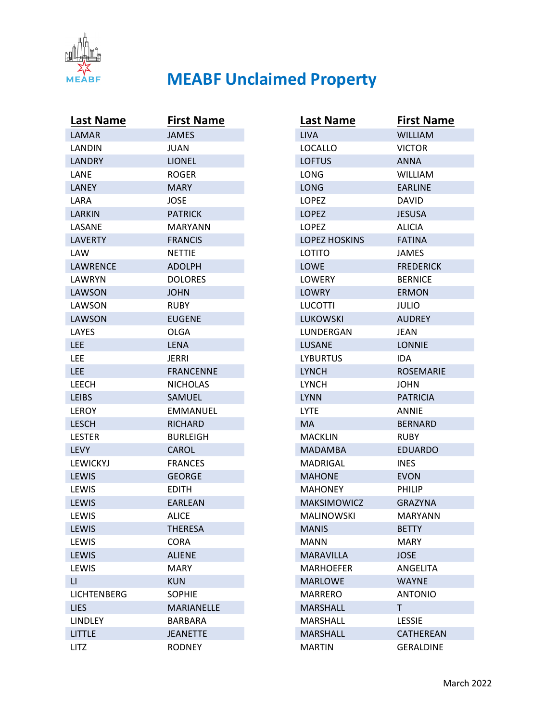

| <b>Last Name</b> | <b>First Name</b> |
|------------------|-------------------|
| <b>LAMAR</b>     | <b>JAMES</b>      |
| LANDIN           | JUAN              |
| <b>LANDRY</b>    | <b>LIONEL</b>     |
| LANE             | <b>ROGER</b>      |
| LANEY            | MARY              |
| LARA             | JOSE              |
| LARKIN           | <b>PATRICK</b>    |
| LASANE           | MARYANN           |
| <b>LAVERTY</b>   | <b>FRANCIS</b>    |
| LAW              | <b>NETTIE</b>     |
| LAWRENCE         | <b>ADOLPH</b>     |
| LAWRYN           | <b>DOLORES</b>    |
| <b>LAWSON</b>    | <b>JOHN</b>       |
| LAWSON           | <b>RUBY</b>       |
| <b>LAWSON</b>    | <b>EUGENE</b>     |
| LAYES            | OLGA              |
| LEE              | LENA              |
| LEE              | JERRI             |
| LEE              | <b>FRANCENNE</b>  |
| LEECH            | <b>NICHOLAS</b>   |
| <b>LEIBS</b>     | <b>SAMUEL</b>     |
| <b>LEROY</b>     | EMMANUEL          |
| <b>LESCH</b>     | <b>RICHARD</b>    |
| <b>LESTER</b>    | <b>BURLEIGH</b>   |
| <b>LEVY</b>      | <b>CAROL</b>      |
| <b>LEWICKYJ</b>  | <b>FRANCES</b>    |
| LEWIS            | <b>GEORGE</b>     |
| LEWIS            | <b>EDITH</b>      |
| LEWIS            | <b>FARLEAN</b>    |
| LEWIS            | <b>ALICE</b>      |
| LEWIS            | <b>THERESA</b>    |
| LEWIS            | <b>CORA</b>       |
| <b>LEWIS</b>     | <b>ALIENE</b>     |
| LEWIS            | <b>MARY</b>       |
| LI.              | <b>KUN</b>        |
| LICHTENBERG      | <b>SOPHIE</b>     |
| <b>LIES</b>      | <b>MARIANELLE</b> |
| <b>LINDLEY</b>   | <b>BARBARA</b>    |
| <b>LITTLE</b>    | <b>JEANETTE</b>   |
| LITZ             | <b>RODNEY</b>     |

| <b>Last Name</b>     | <b>First Name</b> |
|----------------------|-------------------|
| <b>LIVA</b>          | <b>WILLIAM</b>    |
| LOCALLO              | <b>VICTOR</b>     |
| <b>LOFTUS</b>        | <b>ANNA</b>       |
| LONG                 | <b>WILLIAM</b>    |
| LONG                 | <b>EARLINE</b>    |
| LOPEZ                | <b>DAVID</b>      |
| <b>LOPEZ</b>         | <b>JESUSA</b>     |
| <b>LOPEZ</b>         | <b>ALICIA</b>     |
| <b>LOPEZ HOSKINS</b> | <b>FATINA</b>     |
| LOTITO               | JAMES             |
| <b>LOWE</b>          | <b>FREDERICK</b>  |
| <b>LOWERY</b>        | <b>BERNICE</b>    |
| <b>LOWRY</b>         | <b>ERMON</b>      |
| LUCOTTI              | JULIO             |
| LUKOWSKI             | <b>AUDREY</b>     |
| LUNDERGAN            | <b>JEAN</b>       |
| <b>LUSANE</b>        | <b>LONNIE</b>     |
| <b>LYBURTUS</b>      | IDA               |
| <b>LYNCH</b>         | <b>ROSEMARIE</b>  |
| <b>LYNCH</b>         | JOHN              |
| <b>LYNN</b>          | <b>PATRICIA</b>   |
| <b>LYTE</b>          | ANNIE             |
| <b>MA</b>            | <b>BERNARD</b>    |
| MACKLIN              | RUBY              |
| MADAMBA              | <b>EDUARDO</b>    |
| <b>MADRIGAL</b>      | <b>INES</b>       |
| <b>MAHONE</b>        | <b>EVON</b>       |
| <b>MAHONEY</b>       | PHILIP            |
| <b>MAKSIMOWICZ</b>   | <b>GRAZYNA</b>    |
| <b>MALINOWSKI</b>    | MARYANN           |
| <b>MANIS</b>         | <b>BETTY</b>      |
| <b>MANN</b>          | MARY              |
| MARAVILLA            | <b>JOSE</b>       |
| <b>MARHOEFER</b>     | ANGELITA          |
| <b>MARLOWE</b>       | <b>WAYNE</b>      |
| MARRERO              | <b>ANTONIO</b>    |
| <b>MARSHALL</b>      | T.                |
| MARSHALL             | <b>LESSIE</b>     |
| <b>MARSHALL</b>      | <b>CATHEREAN</b>  |
| <b>MARTIN</b>        | <b>GERALDINE</b>  |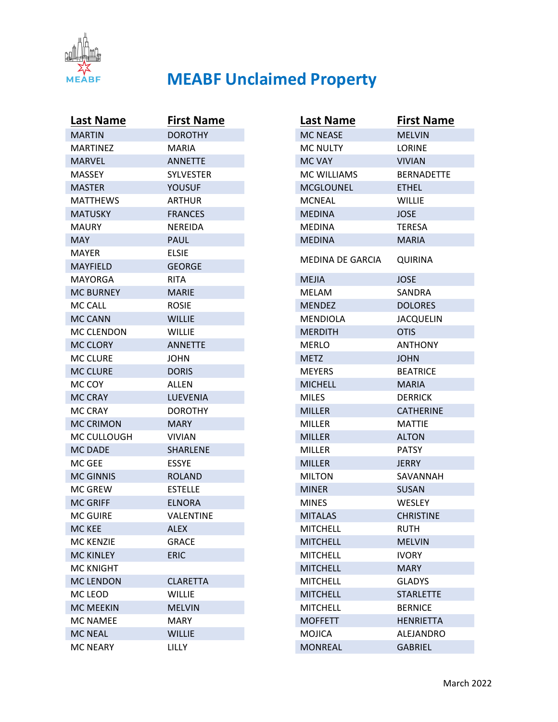

| <b>Last Name</b>  | <b>First Name</b> |
|-------------------|-------------------|
| <b>MARTIN</b>     | <b>DOROTHY</b>    |
| <b>MARTINEZ</b>   | MARIA             |
| <b>MARVEL</b>     | <b>ANNETTE</b>    |
| <b>MASSEY</b>     | <b>SYLVESTER</b>  |
| <b>MASTER</b>     | YOUSUF            |
| <b>MATTHEWS</b>   | ARTHUR            |
| <b>MATUSKY</b>    | <b>FRANCES</b>    |
| <b>MAURY</b>      | <b>NEREIDA</b>    |
| <b>MAY</b>        | <b>PAUL</b>       |
| MAYER             | ELSIE             |
| <b>MAYFIELD</b>   | <b>GEORGE</b>     |
| <b>MAYORGA</b>    | RITA              |
| <b>MC BURNEY</b>  | <b>MARIE</b>      |
| MC CALL           | <b>ROSIE</b>      |
| <b>MC CANN</b>    | <b>WILLIE</b>     |
| <b>MC CLENDON</b> | <b>WILLIE</b>     |
| <b>MC CLORY</b>   | <b>ANNETTE</b>    |
| <b>MC CLURE</b>   | JOHN              |
| <b>MC CLURE</b>   | <b>DORIS</b>      |
| MC COY            | <b>ALLEN</b>      |
| <b>MC CRAY</b>    | LUEVENIA          |
| <b>MC CRAY</b>    | <b>DOROTHY</b>    |
| <b>MC CRIMON</b>  | <b>MARY</b>       |
| MC CULLOUGH       | <b>VIVIAN</b>     |
| <b>MC DADE</b>    | <b>SHARLENE</b>   |
| MC GEE            | <b>ESSYE</b>      |
| <b>MC GINNIS</b>  | <b>ROLAND</b>     |
| <b>MC GREW</b>    | <b>ESTELLE</b>    |
| <b>MC GRIFF</b>   | <b>ELNORA</b>     |
| <b>MC GUIRE</b>   | VALENTINE         |
| MC KEE            | <b>ALEX</b>       |
| <b>MC KENZIE</b>  | <b>GRACE</b>      |
| <b>MC KINLEY</b>  | <b>ERIC</b>       |
| <b>MC KNIGHT</b>  |                   |
| <b>MC LENDON</b>  | <b>CLARETTA</b>   |
| MC LEOD           | <b>WILLIE</b>     |
| <b>MC MEEKIN</b>  | <b>MELVIN</b>     |
| <b>MC NAMEE</b>   | <b>MARY</b>       |
| <b>MC NEAL</b>    | <b>WILLIE</b>     |
| <b>MC NEARY</b>   | LILLY             |

| <b>Last Name</b>   | <b>First Name</b> |
|--------------------|-------------------|
| <b>MC NEASE</b>    | <b>MELVIN</b>     |
| <b>MC NULTY</b>    | <b>LORINE</b>     |
| <b>MC VAY</b>      | <b>VIVIAN</b>     |
| <b>MC WILLIAMS</b> | <b>BERNADETTE</b> |
| <b>MCGLOUNEL</b>   | <b>ETHEL</b>      |
| <b>MCNEAL</b>      | WILLIE            |
| <b>MEDINA</b>      | <b>JOSE</b>       |
| <b>MEDINA</b>      | <b>TERESA</b>     |
| <b>MEDINA</b>      | <b>MARIA</b>      |
| MEDINA DE GARCIA   | <b>QUIRINA</b>    |
| <b>MEJIA</b>       | JOSE              |
| <b>MELAM</b>       | SANDRA            |
| <b>MENDEZ</b>      | <b>DOLORES</b>    |
| MENDIOLA           | <b>JACQUELIN</b>  |
| <b>MERDITH</b>     | <b>OTIS</b>       |
| MERLO              | <b>ANTHONY</b>    |
| <b>METZ</b>        | <b>JOHN</b>       |
| <b>MEYERS</b>      | <b>BEATRICE</b>   |
| <b>MICHELL</b>     | <b>MARIA</b>      |
| <b>MILES</b>       | <b>DERRICK</b>    |
| <b>MILLER</b>      | <b>CATHERINE</b>  |
| <b>MILLER</b>      | <b>MATTIE</b>     |
| <b>MILLER</b>      | <b>ALTON</b>      |
| <b>MILLER</b>      | <b>PATSY</b>      |
| <b>MILLER</b>      | JERRY             |
| <b>MILTON</b>      | SAVANNAH          |
| <b>MINER</b>       | <b>SUSAN</b>      |
| <b>MINES</b>       | WESLEY            |
| <b>MITALAS</b>     | <b>CHRISTINE</b>  |
| <b>MITCHELL</b>    | <b>RUTH</b>       |
| <b>MITCHELL</b>    | <b>MELVIN</b>     |
| <b>MITCHELL</b>    | <b>IVORY</b>      |
| <b>MITCHELL</b>    | <b>MARY</b>       |
| <b>MITCHELL</b>    | <b>GLADYS</b>     |
| <b>MITCHELL</b>    | <b>STARLETTE</b>  |
| <b>MITCHELL</b>    | <b>BERNICE</b>    |
| <b>MOFFETT</b>     | <b>HENRIETTA</b>  |
| <b>MOJICA</b>      | <b>ALEJANDRO</b>  |
| <b>MONREAL</b>     | <b>GABRIEL</b>    |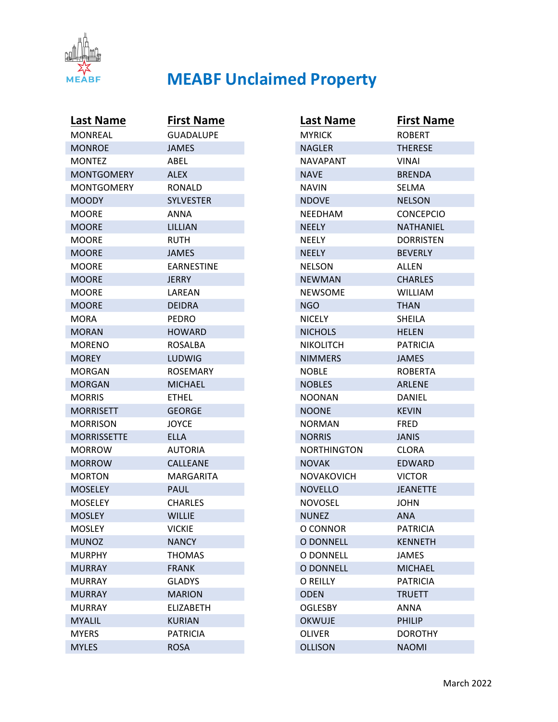

| <b>Last Name</b>   | <b>First Name</b> |
|--------------------|-------------------|
| <b>MONREAL</b>     | <b>GUADALUPE</b>  |
| <b>MONROE</b>      | <b>JAMES</b>      |
| <b>MONTEZ</b>      | ABEL              |
| <b>MONTGOMERY</b>  | <b>ALEX</b>       |
| MONTGOMERY         | RONALD            |
| <b>MOODY</b>       | <b>SYLVESTER</b>  |
| <b>MOORE</b>       | ANNA              |
| <b>MOORE</b>       | LILLIAN           |
| MOORE              | <b>RUTH</b>       |
| <b>MOORE</b>       | <b>JAMES</b>      |
| <b>MOORE</b>       | <b>EARNESTINE</b> |
| <b>MOORE</b>       | JERRY             |
| MOORE              | LAREAN            |
| <b>MOORE</b>       | <b>DEIDRA</b>     |
| MORA               | PEDRO             |
| <b>MORAN</b>       | <b>HOWARD</b>     |
| <b>MORENO</b>      | <b>ROSALBA</b>    |
| <b>MOREY</b>       | LUDWIG            |
| MORGAN             | <b>ROSEMARY</b>   |
| <b>MORGAN</b>      | <b>MICHAEL</b>    |
| MORRIS             | ETHEL             |
| <b>MORRISETT</b>   | <b>GEORGE</b>     |
| MORRISON           | JOYCE             |
| <b>MORRISSETTE</b> | ELLA              |
| <b>MORROW</b>      | <b>AUTORIA</b>    |
| <b>MORROW</b>      | <b>CALLEANE</b>   |
| <b>MORTON</b>      | MARGARITA         |
| <b>MOSELEY</b>     | PAUL              |
| MOSELEY            | CHARLES           |
| <b>MOSLEY</b>      | <b>WILLIE</b>     |
| <b>MOSLEY</b>      | <b>VICKIE</b>     |
| <b>MUNOZ</b>       | <b>NANCY</b>      |
| <b>MURPHY</b>      | <b>THOMAS</b>     |
| <b>MURRAY</b>      | <b>FRANK</b>      |
| <b>MURRAY</b>      | <b>GLADYS</b>     |
| <b>MURRAY</b>      | <b>MARION</b>     |
| <b>MURRAY</b>      | <b>ELIZABETH</b>  |
| <b>MYALIL</b>      | <b>KURIAN</b>     |
| <b>MYERS</b>       | <b>PATRICIA</b>   |
| <b>MYLES</b>       | <b>ROSA</b>       |

| <b>Last Name</b>   | <b>First Name</b> |
|--------------------|-------------------|
| <b>MYRICK</b>      | <b>ROBERT</b>     |
| <b>NAGLER</b>      | <b>THERESE</b>    |
| <b>NAVAPANT</b>    | VINAI             |
| <b>NAVE</b>        | <b>BRENDA</b>     |
| NAVIN              | SELMA             |
| <b>NDOVE</b>       | <b>NELSON</b>     |
| NEEDHAM            | <b>CONCEPCIO</b>  |
| <b>NEELY</b>       | NATHANIEL         |
| <b>NEELY</b>       | <b>DORRISTEN</b>  |
| <b>NEELY</b>       | <b>BEVERLY</b>    |
| <b>NELSON</b>      | ALLEN             |
| <b>NEWMAN</b>      | <b>CHARLES</b>    |
| <b>NEWSOME</b>     | <b>WILLIAM</b>    |
| NGO                | THAN              |
| NICELY             | SHEILA            |
| <b>NICHOLS</b>     | <b>HELEN</b>      |
| <b>NIKOLITCH</b>   | <b>PATRICIA</b>   |
| <b>NIMMERS</b>     | <b>JAMES</b>      |
| <b>NOBLE</b>       | <b>ROBERTA</b>    |
| <b>NOBLES</b>      | ARLENE            |
| NOONAN             | DANIEL            |
| <b>NOONE</b>       | <b>KEVIN</b>      |
| NORMAN             | FRED              |
| <b>NORRIS</b>      | <b>JANIS</b>      |
| <b>NORTHINGTON</b> | <b>CLORA</b>      |
| <b>NOVAK</b>       | <b>EDWARD</b>     |
| NOVAKOVICH         | <b>VICTOR</b>     |
| <b>NOVELLO</b>     | <b>JEANETTE</b>   |
| NOVOSEL            | JOHN              |
| <b>NUNEZ</b>       | ANA               |
| O CONNOR           | <b>PATRICIA</b>   |
| <b>O DONNELL</b>   | <b>KENNETH</b>    |
| O DONNELL          | JAMES             |
| <b>O DONNELL</b>   | <b>MICHAEL</b>    |
| O REILLY           | <b>PATRICIA</b>   |
| <b>ODEN</b>        | <b>TRUETT</b>     |
| <b>OGLESBY</b>     | <b>ANNA</b>       |
| <b>OKWUJE</b>      | <b>PHILIP</b>     |
| <b>OLIVER</b>      | <b>DOROTHY</b>    |
| <b>OLLISON</b>     | <b>NAOMI</b>      |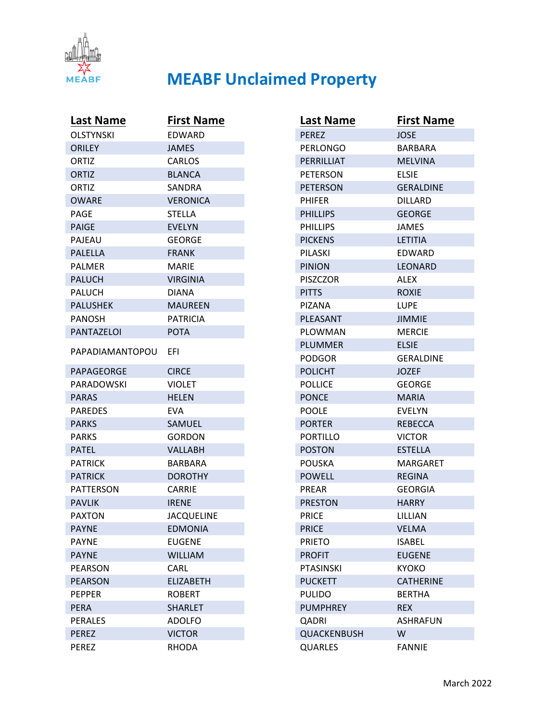

| Last Name        | <b>First Name</b> |
|------------------|-------------------|
| <b>OLSTYNSKI</b> | EDWARD            |
| <b>ORILEY</b>    | <b>JAMES</b>      |
| ORTIZ            | <b>CARLOS</b>     |
| ORTIZ            | <b>BLANCA</b>     |
| ORTIZ            | SANDRA            |
| <b>OWARE</b>     | <b>VERONICA</b>   |
| PAGE             | <b>STELLA</b>     |
| <b>PAIGE</b>     | <b>EVELYN</b>     |
| PAJEAU           | <b>GEORGE</b>     |
| <b>PALELLA</b>   | <b>FRANK</b>      |
| <b>PALMER</b>    | MARIE             |
| <b>PALUCH</b>    | VIRGINIA          |
| <b>PALUCH</b>    | DIANA             |
| <b>PALUSHEK</b>  | <b>MAUREEN</b>    |
| <b>PANOSH</b>    | <b>PATRICIA</b>   |
| PANTAZELOI       | <b>POTA</b>       |
| PAPADIAMANTOPOU  | EFI               |
| PAPAGEORGE       | <b>CIRCE</b>      |
| PARADOWSKI       | <b>VIOLET</b>     |
| <b>PARAS</b>     | <b>HELEN</b>      |
| <b>PAREDES</b>   | EVA               |
| <b>PARKS</b>     | SAMUEL            |
| <b>PARKS</b>     | <b>GORDON</b>     |
| <b>PATEL</b>     | <b>VALLABH</b>    |
| <b>PATRICK</b>   | BARBARA           |
| <b>PATRICK</b>   | <b>DOROTHY</b>    |
| <b>PATTERSON</b> | <b>CARRIE</b>     |
| <b>PAVLIK</b>    | <b>IRENE</b>      |
| <b>PAXTON</b>    | <b>JACQUELINE</b> |
| <b>PAYNE</b>     | <b>EDMONIA</b>    |
| <b>PAYNE</b>     | <b>EUGENE</b>     |
| <b>PAYNE</b>     | <b>WILLIAM</b>    |
| <b>PEARSON</b>   | CARL              |
| <b>PEARSON</b>   | <b>ELIZABETH</b>  |
| <b>PEPPER</b>    | <b>ROBERT</b>     |
| <b>PERA</b>      | <b>SHARLET</b>    |
| <b>PERALES</b>   | <b>ADOLFO</b>     |
| <b>PEREZ</b>     | <b>VICTOR</b>     |
| <b>PEREZ</b>     | <b>RHODA</b>      |

| <b>Last Name</b> | <b>First Name</b> |
|------------------|-------------------|
| <b>PEREZ</b>     | JOSE              |
| PERLONGO         | <b>BARBARA</b>    |
| PERRILLIAT       | <b>MELVINA</b>    |
| <b>PETERSON</b>  | <b>FLSIE</b>      |
| <b>PETERSON</b>  | <b>GERALDINE</b>  |
| PHIFER           | DILLARD           |
| <b>PHILLIPS</b>  | <b>GEORGE</b>     |
| <b>PHILLIPS</b>  | <b>JAMES</b>      |
| <b>PICKENS</b>   | <b>LETITIA</b>    |
| PILASKI          | EDWARD            |
| <b>PINION</b>    | LEONARD           |
| <b>PISZCZOR</b>  | ALEX              |
| <b>PITTS</b>     | <b>ROXIE</b>      |
| PIZANA           | LUPE              |
| PLEASANT         | <b>JIMMIE</b>     |
| PLOWMAN          | <b>MERCIE</b>     |
| <b>PLUMMER</b>   | <b>ELSIE</b>      |
| PODGOR           | GERALDINE         |
| <b>POLICHT</b>   | <b>JOZEF</b>      |
| <b>POLLICE</b>   | GEORGE            |
| <b>PONCE</b>     | <b>MARIA</b>      |
| <b>POOLE</b>     | <b>EVELYN</b>     |
| <b>PORTER</b>    | <b>REBECCA</b>    |
| PORTILLO         | <b>VICTOR</b>     |
| <b>POSTON</b>    | <b>ESTELLA</b>    |
| <b>POUSKA</b>    | MARGARET          |
| <b>POWELL</b>    | <b>REGINA</b>     |
| PREAR            | GEORGIA           |
| <b>PRESTON</b>   | <b>HARRY</b>      |
| <b>PRICE</b>     | LILLIAN           |
| <b>PRICE</b>     | <b>VELMA</b>      |
| <b>PRIETO</b>    | <b>ISABEL</b>     |
| <b>PROFIT</b>    | <b>EUGENE</b>     |
| <b>PTASINSKI</b> | <b>KYOKO</b>      |
| <b>PUCKETT</b>   | <b>CATHERINE</b>  |
| <b>PULIDO</b>    | <b>BERTHA</b>     |
| <b>PUMPHREY</b>  | <b>REX</b>        |
| QADRI            | ASHRAFUN          |
| QUACKENBUSH      | W                 |
| <b>QUARLES</b>   | <b>FANNIE</b>     |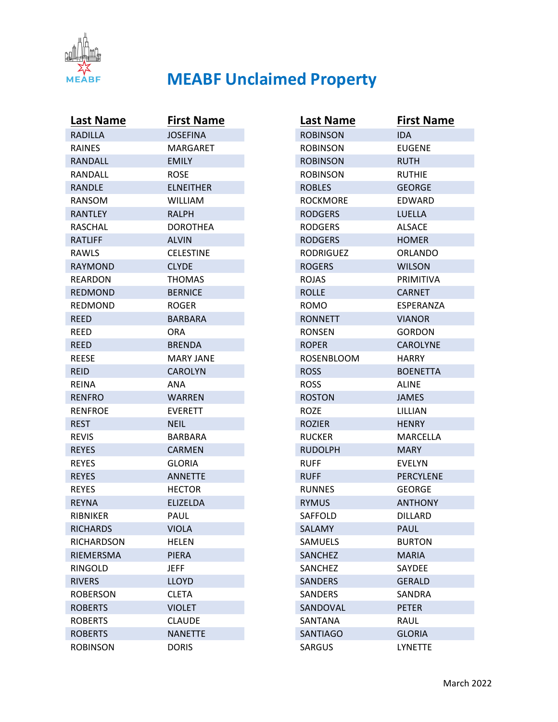

| <b>Last Name</b>  | <b>First Name</b> |
|-------------------|-------------------|
| <b>RADILLA</b>    | <b>JOSEFINA</b>   |
| <b>RAINES</b>     | MARGARET          |
| RANDALL           | <b>EMILY</b>      |
| RANDALL           | ROSE              |
| RANDLE            | <b>ELNEITHER</b>  |
| <b>RANSOM</b>     | <b>WILLIAM</b>    |
| <b>RANTLEY</b>    | <b>RALPH</b>      |
| <b>RASCHAL</b>    | DOROTHEA          |
| <b>RATLIFF</b>    | <b>ALVIN</b>      |
| RAWLS             | <b>CELESTINE</b>  |
| <b>RAYMOND</b>    | <b>CLYDE</b>      |
| <b>REARDON</b>    | <b>THOMAS</b>     |
| <b>REDMOND</b>    | <b>BERNICE</b>    |
| <b>REDMOND</b>    | ROGER             |
| <b>REED</b>       | BARBARA           |
| <b>REED</b>       | ORA               |
| <b>REED</b>       | <b>BRENDA</b>     |
| <b>REESE</b>      | MARY JANE         |
| <b>REID</b>       | <b>CAROLYN</b>    |
| REINA             | ANA               |
| <b>RENFRO</b>     | <b>WARREN</b>     |
| <b>RENFROE</b>    | <b>EVERETT</b>    |
| <b>REST</b>       | <b>NEIL</b>       |
| <b>REVIS</b>      | BARBARA           |
| <b>REYES</b>      | <b>CARMEN</b>     |
| <b>REYES</b>      | <b>GLORIA</b>     |
| <b>REYES</b>      | <b>ANNETTE</b>    |
| <b>REYES</b>      | <b>HECTOR</b>     |
| <b>REYNA</b>      | <b>ELIZELDA</b>   |
| <b>RIBNIKER</b>   | PAUL              |
| <b>RICHARDS</b>   | <b>VIOLA</b>      |
| <b>RICHARDSON</b> | <b>HELEN</b>      |
| RIEMERSMA         | <b>PIERA</b>      |
| RINGOLD           | <b>JEFF</b>       |
| <b>RIVERS</b>     | <b>LLOYD</b>      |
| <b>ROBERSON</b>   | <b>CLETA</b>      |
| <b>ROBERTS</b>    | <b>VIOLET</b>     |
| <b>ROBERTS</b>    | <b>CLAUDE</b>     |
| <b>ROBERTS</b>    | <b>NANETTE</b>    |
| <b>ROBINSON</b>   | <b>DORIS</b>      |

| Last Name         | <b>First Name</b> |
|-------------------|-------------------|
| <b>ROBINSON</b>   | IDA.              |
| <b>ROBINSON</b>   | EUGENE            |
| <b>ROBINSON</b>   | <b>RUTH</b>       |
| <b>ROBINSON</b>   | <b>RUTHIE</b>     |
| <b>ROBLES</b>     | <b>GEORGE</b>     |
| <b>ROCKMORE</b>   | EDWARD            |
| <b>RODGERS</b>    | <b>LUELLA</b>     |
| <b>RODGERS</b>    | <b>ALSACE</b>     |
| <b>RODGERS</b>    | <b>HOMER</b>      |
| <b>RODRIGUEZ</b>  | ORLANDO           |
| <b>ROGERS</b>     | <b>WILSON</b>     |
| <b>ROJAS</b>      | PRIMITIVA         |
| <b>ROLLE</b>      | <b>CARNET</b>     |
| <b>ROMO</b>       | <b>ESPERANZA</b>  |
| <b>RONNETT</b>    | VIANOR            |
| <b>RONSEN</b>     | GORDON            |
| <b>ROPER</b>      | <b>CAROLYNE</b>   |
| <b>ROSENBLOOM</b> | <b>HARRY</b>      |
| <b>ROSS</b>       | <b>BOENETTA</b>   |
| <b>ROSS</b>       | ALINE             |
| <b>ROSTON</b>     | <b>JAMES</b>      |
| ROZE              | LILLIAN           |
| <b>ROZIER</b>     | <b>HENRY</b>      |
| <b>RUCKER</b>     | <b>MARCELLA</b>   |
| <b>RUDOLPH</b>    | MARY.             |
| <b>RUFF</b>       | EVELYN            |
| <b>RUFF</b>       | PERCYLENE         |
| <b>RUNNES</b>     | <b>GEORGE</b>     |
| <b>RYMUS</b>      | <b>ANTHONY</b>    |
| SAFFOLD           | <b>DILLARD</b>    |
| SALAMY            | PAUL              |
| <b>SAMUELS</b>    | <b>BURTON</b>     |
| <b>SANCHEZ</b>    | <b>MARIA</b>      |
| SANCHEZ           | <b>SAYDEE</b>     |
| <b>SANDERS</b>    | <b>GERALD</b>     |
| <b>SANDERS</b>    | SANDRA            |
| SANDOVAL          | <b>PETER</b>      |
| SANTANA           | RAUL              |
| <b>SANTIAGO</b>   | <b>GLORIA</b>     |
| <b>SARGUS</b>     | LYNETTE           |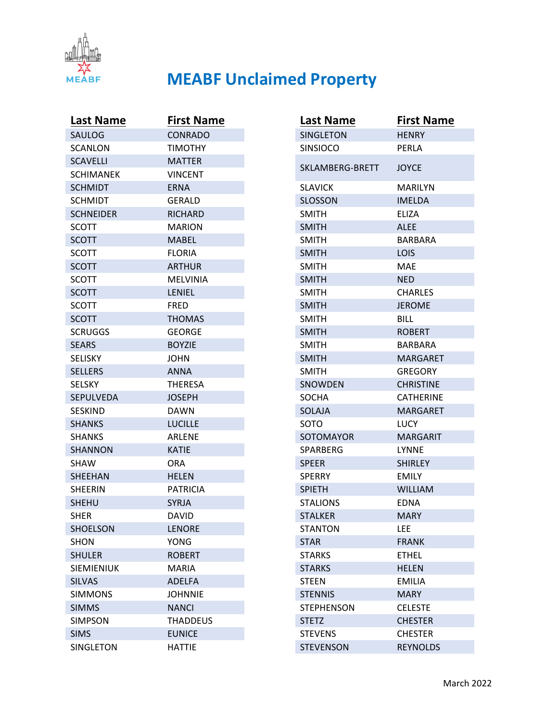

| <b>Last Name</b>  | <b>First Name</b> |
|-------------------|-------------------|
| SAULOG            | <b>CONRADO</b>    |
| <b>SCANLON</b>    | <b>TIMOTHY</b>    |
| <b>SCAVELLI</b>   | <b>MATTER</b>     |
| <b>SCHIMANEK</b>  | <b>VINCENT</b>    |
| <b>SCHMIDT</b>    | ERNA              |
| <b>SCHMIDT</b>    | GERALD            |
| <b>SCHNEIDER</b>  | <b>RICHARD</b>    |
| <b>SCOTT</b>      | <b>MARION</b>     |
| <b>SCOTT</b>      | <b>MABEL</b>      |
| <b>SCOTT</b>      | <b>FLORIA</b>     |
| <b>SCOTT</b>      | <b>ARTHUR</b>     |
| <b>SCOTT</b>      | MELVINIA          |
| <b>SCOTT</b>      | LENIEL            |
| <b>SCOTT</b>      | <b>FRED</b>       |
| <b>SCOTT</b>      | <b>THOMAS</b>     |
| <b>SCRUGGS</b>    | <b>GEORGE</b>     |
| <b>SEARS</b>      | <b>BOYZIE</b>     |
| <b>SELISKY</b>    | <b>JOHN</b>       |
| <b>SELLERS</b>    | <b>ANNA</b>       |
| <b>SELSKY</b>     | <b>THERESA</b>    |
| <b>SEPULVEDA</b>  | <b>JOSEPH</b>     |
| <b>SESKIND</b>    | <b>DAWN</b>       |
| <b>SHANKS</b>     | <b>LUCILLE</b>    |
| <b>SHANKS</b>     | <b>ARLENE</b>     |
| SHANNON           | <b>KATIE</b>      |
| <b>SHAW</b>       | ORA               |
| <b>SHEEHAN</b>    | <b>HELEN</b>      |
| <b>SHEERIN</b>    | <b>PATRICIA</b>   |
| <b>SHEHU</b>      | <b>SYRJA</b>      |
| <b>SHER</b>       | <b>DAVID</b>      |
| <b>SHOELSON</b>   | <b>LENORE</b>     |
| <b>SHON</b>       | YONG              |
| <b>SHULER</b>     | <b>ROBERT</b>     |
| <b>SIEMIENIUK</b> | <b>MARIA</b>      |
| <b>SILVAS</b>     | <b>ADELFA</b>     |
| <b>SIMMONS</b>    | <b>JOHNNIE</b>    |
| <b>SIMMS</b>      | <b>NANCI</b>      |
| <b>SIMPSON</b>    | <b>THADDEUS</b>   |
| <b>SIMS</b>       | <b>EUNICE</b>     |
| <b>SINGLETON</b>  | <b>HATTIE</b>     |

| <b>Last Name</b>  | <b>First Name</b> |
|-------------------|-------------------|
| <b>SINGLETON</b>  | <b>HENRY</b>      |
| <b>SINSIOCO</b>   | PERLA             |
| SKLAMBERG-BRETT   | <b>JOYCE</b>      |
| <b>SLAVICK</b>    | <b>MARILYN</b>    |
| <b>SLOSSON</b>    | <b>IMELDA</b>     |
| <b>SMITH</b>      | ELIZA             |
| <b>SMITH</b>      | ALEE              |
| <b>SMITH</b>      | BARBARA           |
| <b>SMITH</b>      | LOIS              |
| <b>SMITH</b>      | MAE               |
| <b>SMITH</b>      | <b>NED</b>        |
| <b>SMITH</b>      | CHARLES           |
| <b>SMITH</b>      | <b>JEROME</b>     |
| <b>SMITH</b>      | BILL              |
| <b>SMITH</b>      | <b>ROBERT</b>     |
| <b>SMITH</b>      | BARBARA           |
| <b>SMITH</b>      | MARGARET          |
| <b>SMITH</b>      | <b>GREGORY</b>    |
| SNOWDEN           | <b>CHRISTINE</b>  |
| <b>SOCHA</b>      | CATHERINE         |
| SOLAJA            | <b>MARGARET</b>   |
| <b>SOTO</b>       | LUCY              |
| <b>SOTOMAYOR</b>  | <b>MARGARIT</b>   |
| SPARBERG          | LYNNE             |
| <b>SPEER</b>      | <b>SHIRLEY</b>    |
| <b>SPERRY</b>     | <b>EMILY</b>      |
| <b>SPIETH</b>     | <b>WILLIAM</b>    |
| <b>STALIONS</b>   | <b>EDNA</b>       |
| <b>STALKER</b>    | <b>MARY</b>       |
| <b>STANTON</b>    | LEE               |
| <b>STAR</b>       | <b>FRANK</b>      |
| <b>STARKS</b>     | <b>ETHEL</b>      |
| <b>STARKS</b>     | <b>HELEN</b>      |
| <b>STEEN</b>      | <b>EMILIA</b>     |
| <b>STENNIS</b>    | <b>MARY</b>       |
| <b>STEPHENSON</b> | <b>CELESTE</b>    |
| <b>STETZ</b>      | <b>CHESTER</b>    |
| <b>STEVENS</b>    | <b>CHESTER</b>    |
| <b>STEVENSON</b>  | <b>REYNOLDS</b>   |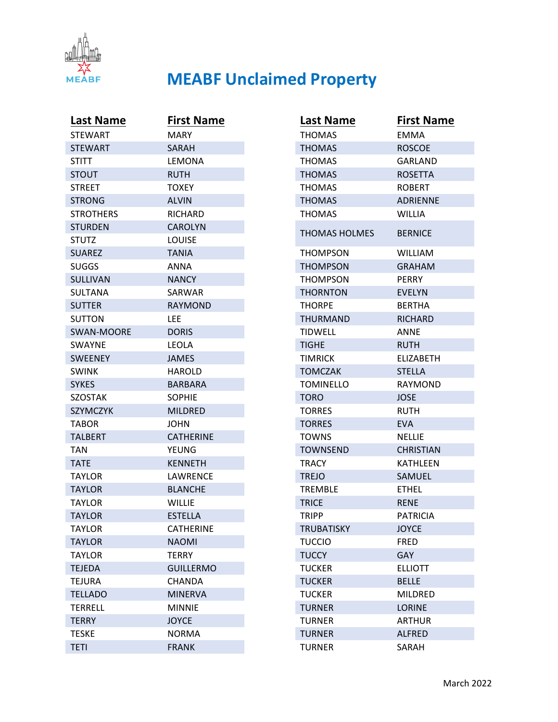

| <b>Last Name</b> | <b>First Name</b> |
|------------------|-------------------|
| <b>STEWART</b>   | <b>MARY</b>       |
| <b>STEWART</b>   | SARAH             |
| <b>STITT</b>     | LEMONA            |
| <b>STOUT</b>     | <b>RUTH</b>       |
| <b>STREET</b>    | TOXEY             |
| <b>STRONG</b>    | <b>ALVIN</b>      |
| STROTHERS        | <b>RICHARD</b>    |
| <b>STURDEN</b>   | <b>CAROLYN</b>    |
| <b>STUTZ</b>     | <b>LOUISE</b>     |
| <b>SUAREZ</b>    | <b>TANIA</b>      |
| <b>SUGGS</b>     | ANNA              |
| <b>SULLIVAN</b>  | <b>NANCY</b>      |
| SULTANA          | SARWAR            |
| <b>SUTTER</b>    | <b>RAYMOND</b>    |
| <b>SUTTON</b>    | LEE               |
| SWAN-MOORE       | <b>DORIS</b>      |
| <b>SWAYNE</b>    | LEOLA             |
| <b>SWEENEY</b>   | <b>JAMES</b>      |
| <b>SWINK</b>     | HAROLD            |
| <b>SYKES</b>     | BARBARA           |
| <b>SZOSTAK</b>   | <b>SOPHIE</b>     |
| <b>SZYMCZYK</b>  | <b>MILDRED</b>    |
| TABOR            | JOHN              |
| <b>TALBERT</b>   | <b>CATHERINE</b>  |
| TAN              | YEUNG             |
| <b>TATE</b>      | <b>KENNETH</b>    |
| TAYLOR           | LAWRENCE          |
| <b>TAYLOR</b>    | <b>BLANCHE</b>    |
| <b>TAYLOR</b>    | <b>WILLIE</b>     |
| <b>TAYLOR</b>    | <b>ESTELLA</b>    |
| <b>TAYLOR</b>    | <b>CATHERINE</b>  |
| <b>TAYLOR</b>    | <b>NAOMI</b>      |
| <b>TAYLOR</b>    | <b>TERRY</b>      |
| <b>TEJEDA</b>    | <b>GUILLERMO</b>  |
| <b>TEJURA</b>    | <b>CHANDA</b>     |
| <b>TELLADO</b>   | <b>MINERVA</b>    |
| <b>TERRELL</b>   | <b>MINNIE</b>     |
| <b>TERRY</b>     | <b>JOYCE</b>      |
| <b>TESKE</b>     | <b>NORMA</b>      |
| <b>TETI</b>      | <b>FRANK</b>      |

| <b>Last Name</b>     | <b>First Name</b> |
|----------------------|-------------------|
| <b>THOMAS</b>        | <b>EMMA</b>       |
| <b>THOMAS</b>        | <b>ROSCOE</b>     |
| <b>THOMAS</b>        | GARLAND           |
| <b>THOMAS</b>        | <b>ROSETTA</b>    |
| <b>THOMAS</b>        | <b>ROBERT</b>     |
| <b>THOMAS</b>        | <b>ADRIENNE</b>   |
| <b>THOMAS</b>        | <b>WILLIA</b>     |
| <b>THOMAS HOLMES</b> | <b>BERNICE</b>    |
| <b>THOMPSON</b>      | WILLIAM           |
| <b>THOMPSON</b>      | <b>GRAHAM</b>     |
| <b>THOMPSON</b>      | <b>PERRY</b>      |
| <b>THORNTON</b>      | <b>EVELYN</b>     |
| <b>THORPE</b>        | <b>BERTHA</b>     |
| <b>THURMAND</b>      | <b>RICHARD</b>    |
| <b>TIDWELL</b>       | ANNE              |
| <b>TIGHE</b>         | <b>RUTH</b>       |
| <b>TIMRICK</b>       | ELIZABETH         |
| <b>TOMCZAK</b>       | STELLA            |
| <b>TOMINELLO</b>     | <b>RAYMOND</b>    |
| <b>TORO</b>          | <b>JOSE</b>       |
| <b>TORRES</b>        | <b>RUTH</b>       |
| <b>TORRES</b>        | <b>EVA</b>        |
| <b>TOWNS</b>         | <b>NELLIE</b>     |
| <b>TOWNSEND</b>      | <b>CHRISTIAN</b>  |
| <b>TRACY</b>         | KATHLEEN          |
| <b>TREJO</b>         | SAMUEL            |
| <b>TREMBLE</b>       | <b>ETHEL</b>      |
| <b>TRICE</b>         | <b>RENE</b>       |
| <b>TRIPP</b>         | <b>PATRICIA</b>   |
| <b>TRUBATISKY</b>    | <b>JOYCE</b>      |
| <b>TUCCIO</b>        | <b>FRED</b>       |
| <b>TUCCY</b>         | GAY               |
| <b>TUCKER</b>        | <b>ELLIOTT</b>    |
| <b>TUCKER</b>        | <b>BELLE</b>      |
| <b>TUCKER</b>        | <b>MILDRED</b>    |
| <b>TURNER</b>        | <b>LORINE</b>     |
| <b>TURNER</b>        | <b>ARTHUR</b>     |
| <b>TURNER</b>        | <b>ALFRED</b>     |
| <b>TURNER</b>        | SARAH             |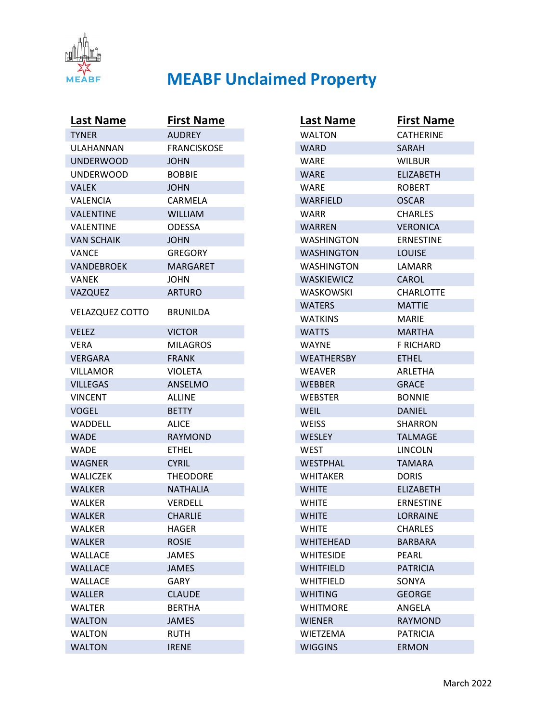

| <b>Last Name</b>       | <b>First Name</b>  |
|------------------------|--------------------|
| <b>TYNER</b>           | <b>AUDREY</b>      |
| ULAHANNAN              | <b>FRANCISKOSE</b> |
| <b>UNDERWOOD</b>       | <b>JOHN</b>        |
| <b>UNDERWOOD</b>       | <b>BOBBIE</b>      |
| <b>VALEK</b>           | <b>JOHN</b>        |
| VALENCIA               | CARMELA            |
| <b>VALENTINE</b>       | <b>WILLIAM</b>     |
| VALENTINE              | <b>ODESSA</b>      |
| <b>VAN SCHAIK</b>      | <b>JOHN</b>        |
| <b>VANCE</b>           | <b>GREGORY</b>     |
| <b>VANDEBROEK</b>      | <b>MARGARET</b>    |
| VANEK                  | JOHN               |
| VAZQUEZ                | <b>ARTURO</b>      |
| <b>VELAZQUEZ COTTO</b> | BRUNILDA           |
| <b>VELEZ</b>           | <b>VICTOR</b>      |
| VERA                   | <b>MILAGROS</b>    |
| <b>VERGARA</b>         | <b>FRANK</b>       |
| <b>VILLAMOR</b>        | <b>VIOLETA</b>     |
| <b>VILLEGAS</b>        | <b>ANSELMO</b>     |
| <b>VINCENT</b>         | <b>ALLINE</b>      |
| VOGEL                  | <b>BETTY</b>       |
| <b>WADDELL</b>         | ALICE              |
| <b>WADE</b>            | <b>RAYMOND</b>     |
| <b>WADE</b>            | <b>ETHEL</b>       |
| <b>WAGNER</b>          | <b>CYRIL</b>       |
| <b>WALICZEK</b>        | <b>THEODORE</b>    |
| <b>WALKER</b>          | <b>NATHALIA</b>    |
| <b>WALKER</b>          | <b>VERDELL</b>     |
| <b>WALKER</b>          | <b>CHARLIE</b>     |
| WALKER                 | <b>HAGER</b>       |
| <b>WALKER</b>          | <b>ROSIE</b>       |
| <b>WALLACE</b>         | <b>JAMES</b>       |
| <b>WALLACE</b>         | <b>JAMES</b>       |
| <b>WALLACE</b>         | GARY               |
| <b>WALLER</b>          | <b>CLAUDE</b>      |
| <b>WALTER</b>          | <b>BERTHA</b>      |
| <b>WALTON</b>          | <b>JAMES</b>       |
| <b>WALTON</b>          | <b>RUTH</b>        |
| <b>WALTON</b>          | <b>IRENE</b>       |

| Last Name         | <b>First Name</b> |
|-------------------|-------------------|
| <b>WALTON</b>     | <b>CATHERINE</b>  |
| WARD              | SARAH             |
| WARE              | WILBUR            |
| <b>WARE</b>       | <b>ELIZABETH</b>  |
| WARE              | <b>ROBERT</b>     |
| <b>WARFIELD</b>   | <b>OSCAR</b>      |
| WARR              | <b>CHARLES</b>    |
| <b>WARREN</b>     | <b>VERONICA</b>   |
| WASHINGTON        | <b>ERNESTINE</b>  |
| WASHINGTON        | <b>LOUISE</b>     |
| <b>WASHINGTON</b> | LAMARR            |
| <b>WASKIEWICZ</b> | CAROL             |
| WASKOWSKI         | <b>CHARLOTTE</b>  |
| <b>WATERS</b>     | <b>MATTIE</b>     |
| WATKINS           | MARIE             |
| <b>WATTS</b>      | <b>MARTHA</b>     |
| WAYNE             | F RICHARD         |
| <b>WEATHERSBY</b> | <b>ETHEL</b>      |
| <b>WEAVER</b>     | <b>ARLETHA</b>    |
| <b>WEBBER</b>     | <b>GRACE</b>      |
| <b>WEBSTER</b>    | <b>BONNIE</b>     |
| <b>WEIL</b>       | <b>DANIEL</b>     |
| <b>WEISS</b>      | SHARRON           |
| <b>WESLEY</b>     | <b>TALMAGE</b>    |
| WEST              | LINCOLN           |
| <b>WESTPHAL</b>   | <b>TAMARA</b>     |
| <b>WHITAKER</b>   | <b>DORIS</b>      |
| <b>WHITE</b>      | <b>ELIZABETH</b>  |
| <b>WHITE</b>      | <b>ERNESTINE</b>  |
| <b>WHITE</b>      | LORRAINE          |
| WHITE             | <b>CHARLES</b>    |
| <b>WHITEHEAD</b>  | <b>BARBARA</b>    |
| <b>WHITESIDE</b>  | PEARL             |
| <b>WHITFIELD</b>  | <b>PATRICIA</b>   |
| <b>WHITFIELD</b>  | SONYA             |
| <b>WHITING</b>    | <b>GEORGE</b>     |
| <b>WHITMORE</b>   | ANGELA            |
| <b>WIENER</b>     | <b>RAYMOND</b>    |
| <b>WIETZEMA</b>   | <b>PATRICIA</b>   |
| <b>WIGGINS</b>    | <b>ERMON</b>      |